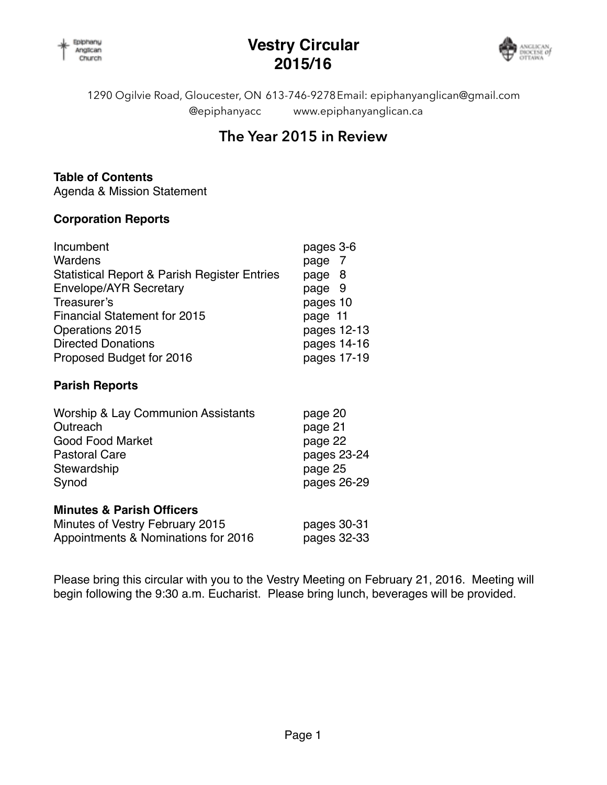

### **Vestry Circular 2015/16**



1290 Ogilvie Road, Gloucester, ON 613-746-9278 Email: [epiphanyanglican@gmail.com](mailto:epiphanyanglicanchurch@bellnet.ca) @epiphanyacc [www.epiphanyanglican.ca](http://www.epiphanyanglican.ca)

### **The Year 2015 in Review**

### **Table of Contents**

Agenda & Mission Statement

### **Corporation Reports**

| Incumbent                                               | pages 3-6   |
|---------------------------------------------------------|-------------|
| Wardens                                                 | page 7      |
| <b>Statistical Report &amp; Parish Register Entries</b> | page 8      |
| Envelope/AYR Secretary                                  | page 9      |
| Treasurer's                                             | pages 10    |
| <b>Financial Statement for 2015</b>                     | page 11     |
| Operations 2015                                         | pages 12-13 |
| <b>Directed Donations</b>                               | pages 14-16 |
| Proposed Budget for 2016                                | pages 17-19 |

### **Parish Reports**

| <b>Worship &amp; Lay Communion Assistants</b> | page 20     |  |
|-----------------------------------------------|-------------|--|
| Outreach                                      | page 21     |  |
| <b>Good Food Market</b>                       | page 22     |  |
| <b>Pastoral Care</b>                          | pages 23-24 |  |
| Stewardship                                   | page 25     |  |
| Synod                                         | pages 26-29 |  |
| <b>Minutes &amp; Parish Officers</b>          |             |  |
| Minutes of Vestry February 2015               | pages 30-31 |  |
| Appointments & Nominations for 2016           | pages 32-33 |  |

Please bring this circular with you to the Vestry Meeting on February 21, 2016. Meeting will begin following the 9:30 a.m. Eucharist. Please bring lunch, beverages will be provided.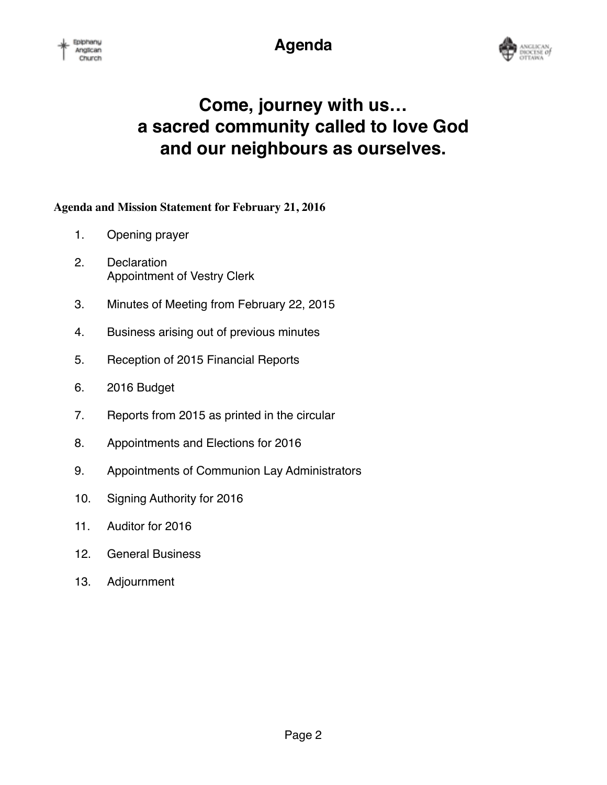**Agenda**



# **Come, journey with us… a sacred community called to love God and our neighbours as ourselves.**

### **Agenda and Mission Statement for February 21, 2016**

- 1. Opening prayer
- 2. Declaration Appointment of Vestry Clerk
- 3. Minutes of Meeting from February 22, 2015
- 4. Business arising out of previous minutes
- 5. Reception of 2015 Financial Reports
- 6. 2016 Budget
- 7. Reports from 2015 as printed in the circular
- 8. Appointments and Elections for 2016
- 9. Appointments of Communion Lay Administrators
- 10. Signing Authority for 2016
- 11. Auditor for 2016
- 12. General Business
- 13. Adjournment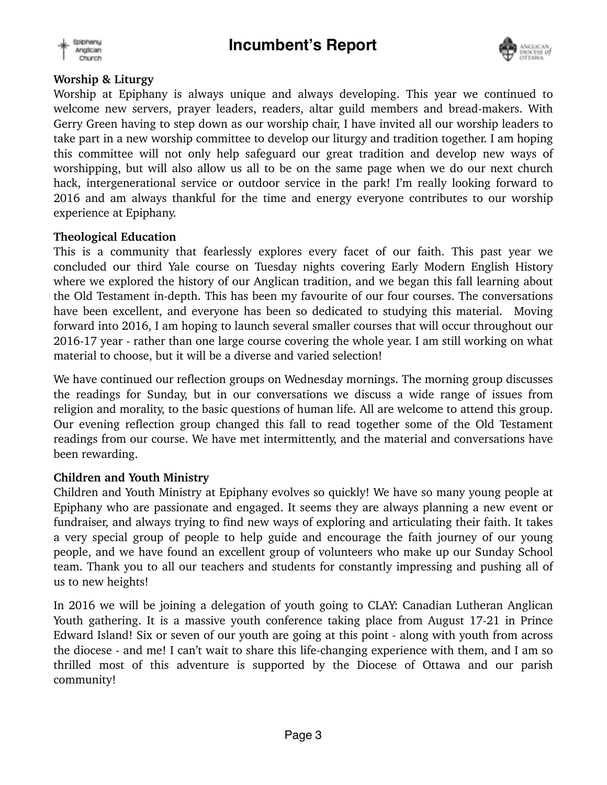



### **Worship & Liturgy**

Worship at Epiphany is always unique and always developing. This year we continued to welcome new servers, prayer leaders, readers, altar guild members and bread-makers. With Gerry Green having to step down as our worship chair, I have invited all our worship leaders to take part in a new worship committee to develop our liturgy and tradition together. I am hoping this committee will not only help safeguard our great tradition and develop new ways of worshipping, but will also allow us all to be on the same page when we do our next church hack, intergenerational service or outdoor service in the park! I'm really looking forward to 2016 and am always thankful for the time and energy everyone contributes to our worship experience at Epiphany.

### **Theological Education**

This is a community that fearlessly explores every facet of our faith. This past year we concluded our third Yale course on Tuesday nights covering Early Modern English History where we explored the history of our Anglican tradition, and we began this fall learning about the Old Testament in-depth. This has been my favourite of our four courses. The conversations have been excellent, and everyone has been so dedicated to studying this material. Moving forward into 2016, I am hoping to launch several smaller courses that will occur throughout our 2016-17 year - rather than one large course covering the whole year. I am still working on what material to choose, but it will be a diverse and varied selection!

We have continued our reflection groups on Wednesday mornings. The morning group discusses the readings for Sunday, but in our conversations we discuss a wide range of issues from religion and morality, to the basic questions of human life. All are welcome to attend this group. Our evening reflection group changed this fall to read together some of the Old Testament readings from our course. We have met intermittently, and the material and conversations have been rewarding.

### **Children and Youth Ministry**

Children and Youth Ministry at Epiphany evolves so quickly! We have so many young people at Epiphany who are passionate and engaged. It seems they are always planning a new event or fundraiser, and always trying to find new ways of exploring and articulating their faith. It takes a very special group of people to help guide and encourage the faith journey of our young people, and we have found an excellent group of volunteers who make up our Sunday School team. Thank you to all our teachers and students for constantly impressing and pushing all of us to new heights!

In 2016 we will be joining a delegation of youth going to CLAY: Canadian Lutheran Anglican Youth gathering. It is a massive youth conference taking place from August 17-21 in Prince Edward Island! Six or seven of our youth are going at this point - along with youth from across the diocese - and me! I can't wait to share this life-changing experience with them, and I am so thrilled most of this adventure is supported by the Diocese of Ottawa and our parish community!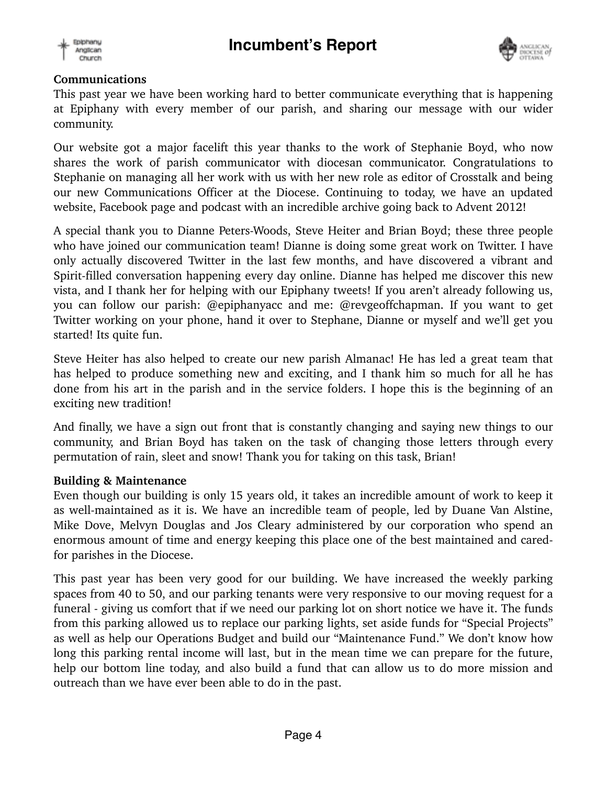



### **Communications**

This past year we have been working hard to better communicate everything that is happening at Epiphany with every member of our parish, and sharing our message with our wider community.

Our website got a major facelift this year thanks to the work of Stephanie Boyd, who now shares the work of parish communicator with diocesan communicator. Congratulations to Stephanie on managing all her work with us with her new role as editor of Crosstalk and being our new Communications Officer at the Diocese. Continuing to today, we have an updated website, Facebook page and podcast with an incredible archive going back to Advent 2012!

A special thank you to Dianne Peters-Woods, Steve Heiter and Brian Boyd; these three people who have joined our communication team! Dianne is doing some great work on Twitter. I have only actually discovered Twitter in the last few months, and have discovered a vibrant and Spirit-filled conversation happening every day online. Dianne has helped me discover this new vista, and I thank her for helping with our Epiphany tweets! If you aren't already following us, you can follow our parish: @epiphanyacc and me: @revgeoffchapman. If you want to get Twitter working on your phone, hand it over to Stephane, Dianne or myself and we'll get you started! Its quite fun.

Steve Heiter has also helped to create our new parish Almanac! He has led a great team that has helped to produce something new and exciting, and I thank him so much for all he has done from his art in the parish and in the service folders. I hope this is the beginning of an exciting new tradition!

And finally, we have a sign out front that is constantly changing and saying new things to our community, and Brian Boyd has taken on the task of changing those letters through every permutation of rain, sleet and snow! Thank you for taking on this task, Brian!

### **Building & Maintenance**

Even though our building is only 15 years old, it takes an incredible amount of work to keep it as well-maintained as it is. We have an incredible team of people, led by Duane Van Alstine, Mike Dove, Melvyn Douglas and Jos Cleary administered by our corporation who spend an enormous amount of time and energy keeping this place one of the best maintained and caredfor parishes in the Diocese.

This past year has been very good for our building. We have increased the weekly parking spaces from 40 to 50, and our parking tenants were very responsive to our moving request for a funeral - giving us comfort that if we need our parking lot on short notice we have it. The funds from this parking allowed us to replace our parking lights, set aside funds for "Special Projects" as well as help our Operations Budget and build our "Maintenance Fund." We don't know how long this parking rental income will last, but in the mean time we can prepare for the future, help our bottom line today, and also build a fund that can allow us to do more mission and outreach than we have ever been able to do in the past.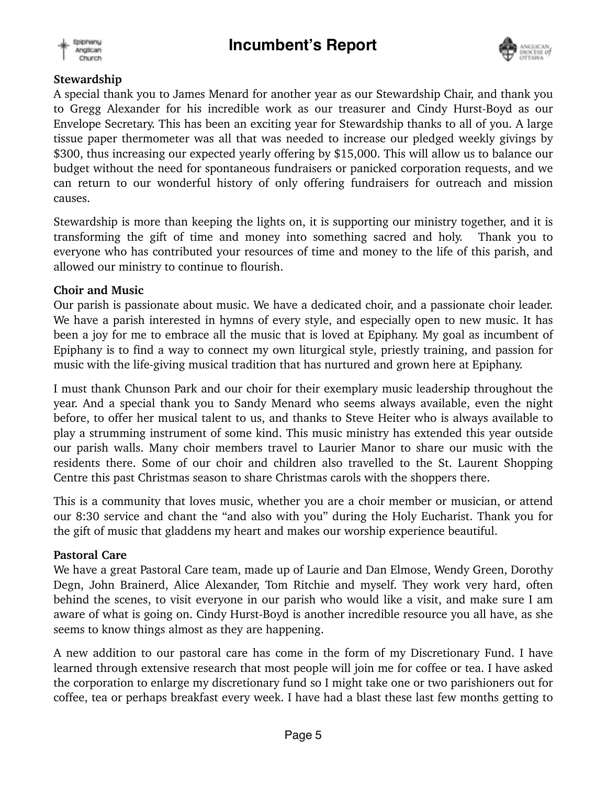



### **Stewardship**

A special thank you to James Menard for another year as our Stewardship Chair, and thank you to Gregg Alexander for his incredible work as our treasurer and Cindy Hurst-Boyd as our Envelope Secretary. This has been an exciting year for Stewardship thanks to all of you. A large tissue paper thermometer was all that was needed to increase our pledged weekly givings by \$300, thus increasing our expected yearly offering by \$15,000. This will allow us to balance our budget without the need for spontaneous fundraisers or panicked corporation requests, and we can return to our wonderful history of only offering fundraisers for outreach and mission causes.

Stewardship is more than keeping the lights on, it is supporting our ministry together, and it is transforming the gift of time and money into something sacred and holy. Thank you to everyone who has contributed your resources of time and money to the life of this parish, and allowed our ministry to continue to flourish.

### **Choir and Music**

Our parish is passionate about music. We have a dedicated choir, and a passionate choir leader. We have a parish interested in hymns of every style, and especially open to new music. It has been a joy for me to embrace all the music that is loved at Epiphany. My goal as incumbent of Epiphany is to find a way to connect my own liturgical style, priestly training, and passion for music with the life-giving musical tradition that has nurtured and grown here at Epiphany.

I must thank Chunson Park and our choir for their exemplary music leadership throughout the year. And a special thank you to Sandy Menard who seems always available, even the night before, to offer her musical talent to us, and thanks to Steve Heiter who is always available to play a strumming instrument of some kind. This music ministry has extended this year outside our parish walls. Many choir members travel to Laurier Manor to share our music with the residents there. Some of our choir and children also travelled to the St. Laurent Shopping Centre this past Christmas season to share Christmas carols with the shoppers there.

This is a community that loves music, whether you are a choir member or musician, or attend our 8:30 service and chant the "and also with you" during the Holy Eucharist. Thank you for the gift of music that gladdens my heart and makes our worship experience beautiful.

### **Pastoral Care**

We have a great Pastoral Care team, made up of Laurie and Dan Elmose, Wendy Green, Dorothy Degn, John Brainerd, Alice Alexander, Tom Ritchie and myself. They work very hard, often behind the scenes, to visit everyone in our parish who would like a visit, and make sure I am aware of what is going on. Cindy Hurst-Boyd is another incredible resource you all have, as she seems to know things almost as they are happening.

A new addition to our pastoral care has come in the form of my Discretionary Fund. I have learned through extensive research that most people will join me for coffee or tea. I have asked the corporation to enlarge my discretionary fund so I might take one or two parishioners out for coffee, tea or perhaps breakfast every week. I have had a blast these last few months getting to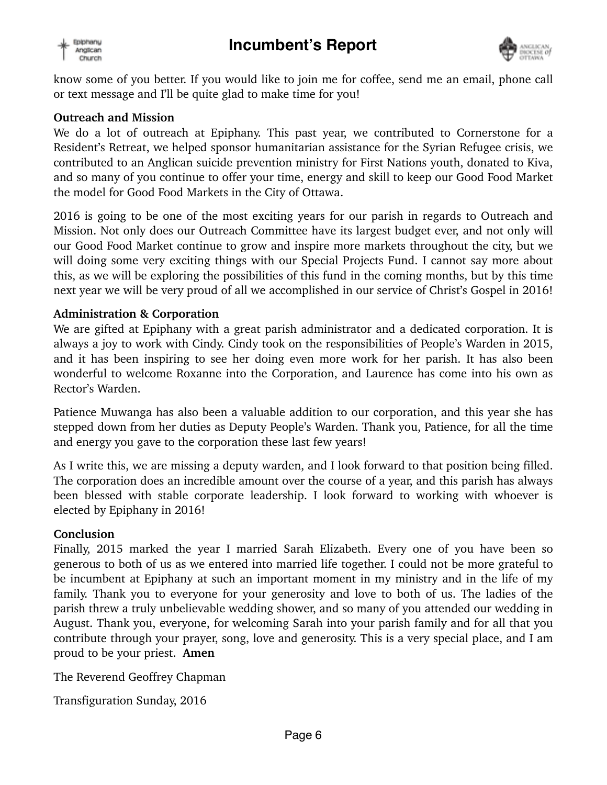



know some of you better. If you would like to join me for coffee, send me an email, phone call or text message and I'll be quite glad to make time for you!

#### **Outreach and Mission**

We do a lot of outreach at Epiphany. This past year, we contributed to Cornerstone for a Resident's Retreat, we helped sponsor humanitarian assistance for the Syrian Refugee crisis, we contributed to an Anglican suicide prevention ministry for First Nations youth, donated to Kiva, and so many of you continue to offer your time, energy and skill to keep our Good Food Market the model for Good Food Markets in the City of Ottawa.

2016 is going to be one of the most exciting years for our parish in regards to Outreach and Mission. Not only does our Outreach Committee have its largest budget ever, and not only will our Good Food Market continue to grow and inspire more markets throughout the city, but we will doing some very exciting things with our Special Projects Fund. I cannot say more about this, as we will be exploring the possibilities of this fund in the coming months, but by this time next year we will be very proud of all we accomplished in our service of Christ's Gospel in 2016!

#### **Administration & Corporation**

We are gifted at Epiphany with a great parish administrator and a dedicated corporation. It is always a joy to work with Cindy. Cindy took on the responsibilities of People's Warden in 2015, and it has been inspiring to see her doing even more work for her parish. It has also been wonderful to welcome Roxanne into the Corporation, and Laurence has come into his own as Rector's Warden.

Patience Muwanga has also been a valuable addition to our corporation, and this year she has stepped down from her duties as Deputy People's Warden. Thank you, Patience, for all the time and energy you gave to the corporation these last few years!

As I write this, we are missing a deputy warden, and I look forward to that position being filled. The corporation does an incredible amount over the course of a year, and this parish has always been blessed with stable corporate leadership. I look forward to working with whoever is elected by Epiphany in 2016!

#### **Conclusion**

Finally, 2015 marked the year I married Sarah Elizabeth. Every one of you have been so generous to both of us as we entered into married life together. I could not be more grateful to be incumbent at Epiphany at such an important moment in my ministry and in the life of my family. Thank you to everyone for your generosity and love to both of us. The ladies of the parish threw a truly unbelievable wedding shower, and so many of you attended our wedding in August. Thank you, everyone, for welcoming Sarah into your parish family and for all that you contribute through your prayer, song, love and generosity. This is a very special place, and I am proud to be your priest. **Amen** 

The Reverend Geoffrey Chapman

Transfiguration Sunday, 2016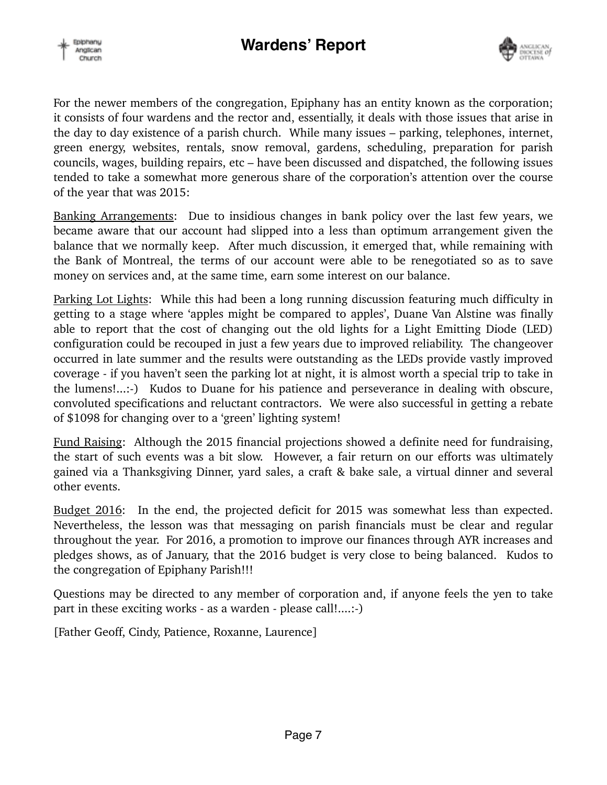



For the newer members of the congregation, Epiphany has an entity known as the corporation; it consists of four wardens and the rector and, essentially, it deals with those issues that arise in the day to day existence of a parish church. While many issues – parking, telephones, internet, green energy, websites, rentals, snow removal, gardens, scheduling, preparation for parish councils, wages, building repairs, etc – have been discussed and dispatched, the following issues tended to take a somewhat more generous share of the corporation's attention over the course of the year that was 2015:

Banking Arrangements: Due to insidious changes in bank policy over the last few years, we became aware that our account had slipped into a less than optimum arrangement given the balance that we normally keep. After much discussion, it emerged that, while remaining with the Bank of Montreal, the terms of our account were able to be renegotiated so as to save money on services and, at the same time, earn some interest on our balance.

Parking Lot Lights: While this had been a long running discussion featuring much difficulty in getting to a stage where 'apples might be compared to apples', Duane Van Alstine was finally able to report that the cost of changing out the old lights for a Light Emitting Diode (LED) configuration could be recouped in just a few years due to improved reliability. The changeover occurred in late summer and the results were outstanding as the LEDs provide vastly improved coverage - if you haven't seen the parking lot at night, it is almost worth a special trip to take in the lumens!...:-) Kudos to Duane for his patience and perseverance in dealing with obscure, convoluted specifications and reluctant contractors. We were also successful in getting a rebate of \$1098 for changing over to a 'green' lighting system!

Fund Raising: Although the 2015 financial projections showed a definite need for fundraising, the start of such events was a bit slow. However, a fair return on our efforts was ultimately gained via a Thanksgiving Dinner, yard sales, a craft & bake sale, a virtual dinner and several other events.

Budget 2016: In the end, the projected deficit for 2015 was somewhat less than expected. Nevertheless, the lesson was that messaging on parish financials must be clear and regular throughout the year. For 2016, a promotion to improve our finances through AYR increases and pledges shows, as of January, that the 2016 budget is very close to being balanced. Kudos to the congregation of Epiphany Parish!!!

Questions may be directed to any member of corporation and, if anyone feels the yen to take part in these exciting works - as a warden - please call!....:-)

[Father Geoff, Cindy, Patience, Roxanne, Laurence]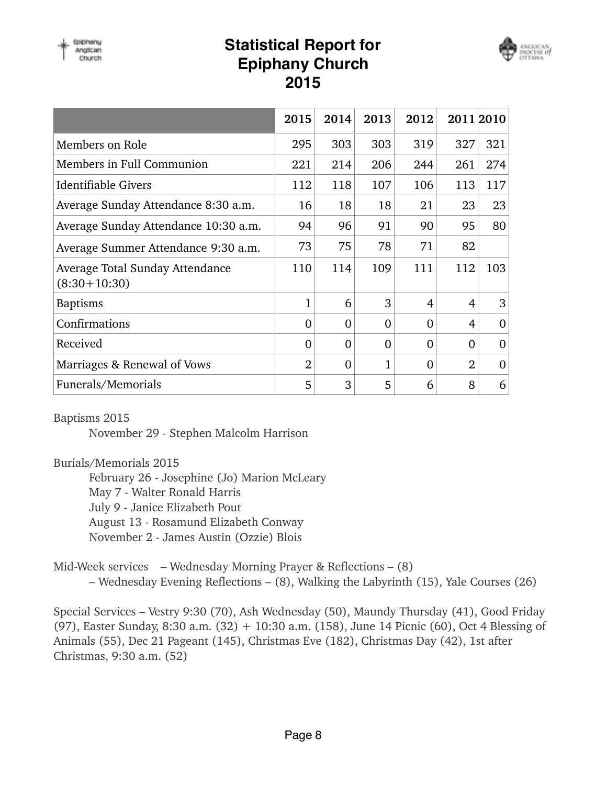



|                                                   | 2015           | 2014     | 2013     | 2012     | 2011 2010      |                |
|---------------------------------------------------|----------------|----------|----------|----------|----------------|----------------|
| Members on Role                                   | 295            | 303      | 303      | 319      | 327            | 321            |
| Members in Full Communion                         | 221            | 214      | 206      | 244      | 261            | 274            |
| Identifiable Givers                               | 112            | 118      | 107      | 106      | 113            | 117            |
| Average Sunday Attendance 8:30 a.m.               | 16             | 18       | 18       | 21       | 23             | 23             |
| Average Sunday Attendance 10:30 a.m.              | 94             | 96       | 91       | 90       | 95             | 80             |
| Average Summer Attendance 9:30 a.m.               | 73             | 75       | 78       | 71       | 82             |                |
| Average Total Sunday Attendance<br>$(8:30+10:30)$ | 110            | 114      | 109      | 111      | 112            | 103            |
| <b>Baptisms</b>                                   | 1              | 6        | 3        | 4        | $\overline{4}$ | 3              |
| Confirmations                                     | $\theta$       | $\Omega$ | $\Omega$ | $\Omega$ | $\overline{4}$ | $\overline{0}$ |
| Received                                          | 0              | $\Omega$ | $\Omega$ | $\Omega$ | $\Omega$       | $\overline{0}$ |
| Marriages & Renewal of Vows                       | $\overline{2}$ | $\theta$ | 1        | 0        | $\overline{2}$ | $\overline{0}$ |
| Funerals/Memorials                                | 5              | 3        | 5        | 6        | 8              | 6              |

Baptisms 2015

November 29 - Stephen Malcolm Harrison

Burials/Memorials 2015

February 26 - Josephine (Jo) Marion McLeary

May 7 - Walter Ronald Harris

July 9 - Janice Elizabeth Pout

August 13 - Rosamund Elizabeth Conway

November 2 - James Austin (Ozzie) Blois

Mid-Week services – Wednesday Morning Prayer & Reflections – (8) – Wednesday Evening Reflections – (8), Walking the Labyrinth (15), Yale Courses (26)

Special Services – Vestry 9:30 (70), Ash Wednesday (50), Maundy Thursday (41), Good Friday (97), Easter Sunday, 8:30 a.m. (32) + 10:30 a.m. (158), June 14 Picnic (60), Oct 4 Blessing of Animals (55), Dec 21 Pageant (145), Christmas Eve (182), Christmas Day (42), 1st after Christmas, 9:30 a.m. (52)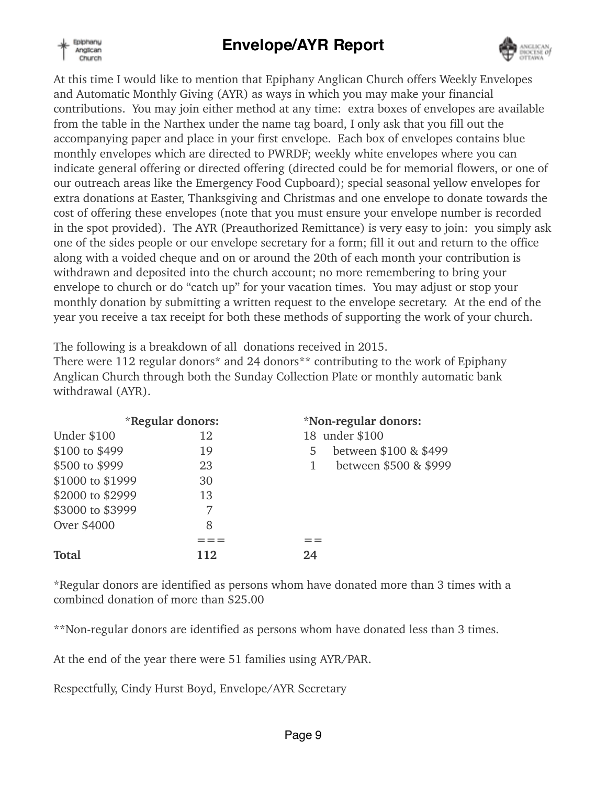

# **Envelope/AYR Report**



At this time I would like to mention that Epiphany Anglican Church offers Weekly Envelopes and Automatic Monthly Giving (AYR) as ways in which you may make your financial contributions. You may join either method at any time: extra boxes of envelopes are available from the table in the Narthex under the name tag board, I only ask that you fill out the accompanying paper and place in your first envelope. Each box of envelopes contains blue monthly envelopes which are directed to PWRDF; weekly white envelopes where you can indicate general offering or directed offering (directed could be for memorial flowers, or one of our outreach areas like the Emergency Food Cupboard); special seasonal yellow envelopes for extra donations at Easter, Thanksgiving and Christmas and one envelope to donate towards the cost of offering these envelopes (note that you must ensure your envelope number is recorded in the spot provided). The AYR (Preauthorized Remittance) is very easy to join: you simply ask one of the sides people or our envelope secretary for a form; fill it out and return to the office along with a voided cheque and on or around the 20th of each month your contribution is withdrawn and deposited into the church account; no more remembering to bring your envelope to church or do "catch up" for your vacation times. You may adjust or stop your monthly donation by submitting a written request to the envelope secretary. At the end of the year you receive a tax receipt for both these methods of supporting the work of your church.

The following is a breakdown of all donations received in 2015.

There were 112 regular donors<sup>\*</sup> and 24 donors<sup>\*\*</sup> contributing to the work of Epiphany Anglican Church through both the Sunday Collection Plate or monthly automatic bank withdrawal (AYR).

|                    | *Regular donors: | *Non-regular donors:       |
|--------------------|------------------|----------------------------|
| <b>Under \$100</b> | 12               | 18 under \$100             |
| \$100 to \$499     | 19               | between \$100 & \$499<br>5 |
| \$500 to \$999     | 23               | between \$500 & \$999<br>1 |
| \$1000 to \$1999   | 30               |                            |
| \$2000 to \$2999   | 13               |                            |
| \$3000 to \$3999   | 7                |                            |
| Over \$4000        | 8                |                            |
|                    |                  |                            |
| Total              | 112              | 24                         |

\*Regular donors are identified as persons whom have donated more than 3 times with a combined donation of more than \$25.00

\*\*Non-regular donors are identified as persons whom have donated less than 3 times.

At the end of the year there were 51 families using AYR/PAR.

Respectfully, Cindy Hurst Boyd, Envelope/AYR Secretary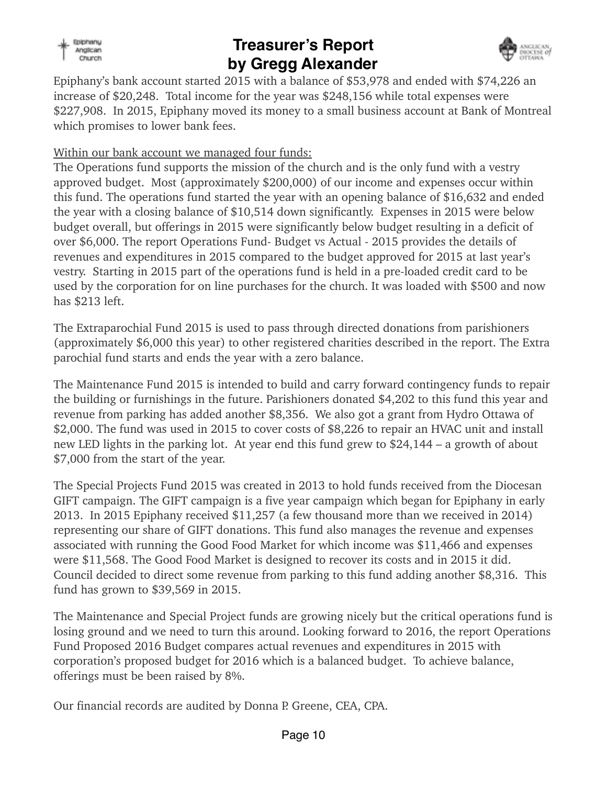

## **Treasurer's Report by Gregg Alexander**



Epiphany's bank account started 2015 with a balance of \$53,978 and ended with \$74,226 an increase of \$20,248. Total income for the year was \$248,156 while total expenses were \$227,908. In 2015, Epiphany moved its money to a small business account at Bank of Montreal which promises to lower bank fees.

### Within our bank account we managed four funds:

The Operations fund supports the mission of the church and is the only fund with a vestry approved budget. Most (approximately \$200,000) of our income and expenses occur within this fund. The operations fund started the year with an opening balance of \$16,632 and ended the year with a closing balance of \$10,514 down significantly. Expenses in 2015 were below budget overall, but offerings in 2015 were significantly below budget resulting in a deficit of over \$6,000. The report Operations Fund- Budget vs Actual - 2015 provides the details of revenues and expenditures in 2015 compared to the budget approved for 2015 at last year's vestry. Starting in 2015 part of the operations fund is held in a pre-loaded credit card to be used by the corporation for on line purchases for the church. It was loaded with \$500 and now has \$213 left.

The Extraparochial Fund 2015 is used to pass through directed donations from parishioners (approximately \$6,000 this year) to other registered charities described in the report. The Extra parochial fund starts and ends the year with a zero balance.

The Maintenance Fund 2015 is intended to build and carry forward contingency funds to repair the building or furnishings in the future. Parishioners donated \$4,202 to this fund this year and revenue from parking has added another \$8,356. We also got a grant from Hydro Ottawa of \$2,000. The fund was used in 2015 to cover costs of \$8,226 to repair an HVAC unit and install new LED lights in the parking lot. At year end this fund grew to \$24,144 – a growth of about \$7,000 from the start of the year.

The Special Projects Fund 2015 was created in 2013 to hold funds received from the Diocesan GIFT campaign. The GIFT campaign is a five year campaign which began for Epiphany in early 2013. In 2015 Epiphany received \$11,257 (a few thousand more than we received in 2014) representing our share of GIFT donations. This fund also manages the revenue and expenses associated with running the Good Food Market for which income was \$11,466 and expenses were \$11,568. The Good Food Market is designed to recover its costs and in 2015 it did. Council decided to direct some revenue from parking to this fund adding another \$8,316. This fund has grown to \$39,569 in 2015.

The Maintenance and Special Project funds are growing nicely but the critical operations fund is losing ground and we need to turn this around. Looking forward to 2016, the report Operations Fund Proposed 2016 Budget compares actual revenues and expenditures in 2015 with corporation's proposed budget for 2016 which is a balanced budget. To achieve balance, offerings must be been raised by 8%.

Our financial records are audited by Donna P. Greene, CEA, CPA.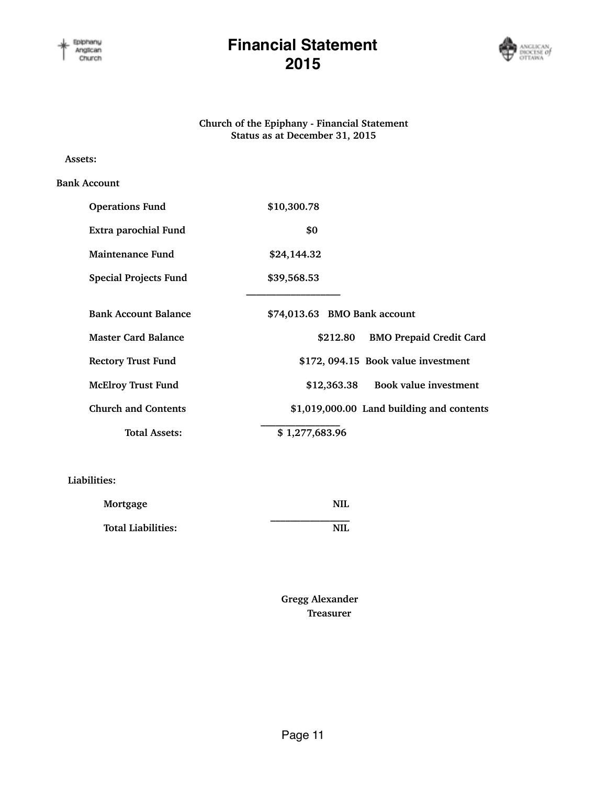

### **Financial Statement 2015**



#### **Church of the Epiphany - Financial Statement Status as at December 31, 2015**

#### **Assets:**

#### **Bank Account**

| <b>Operations Fund</b>       | \$10,300.78                                |
|------------------------------|--------------------------------------------|
| Extra parochial Fund         | \$0                                        |
| <b>Maintenance Fund</b>      | \$24,144.32                                |
| <b>Special Projects Fund</b> | \$39,568.53                                |
|                              |                                            |
| <b>Bank Account Balance</b>  | \$74,013.63 BMO Bank account               |
| <b>Master Card Balance</b>   | <b>BMO Prepaid Credit Card</b><br>\$212.80 |
| <b>Rectory Trust Fund</b>    | \$172, 094.15 Book value investment        |
| <b>McElroy Trust Fund</b>    | Book value investment<br>\$12,363.38       |
| <b>Church and Contents</b>   | \$1,019,000.00 Land building and contents  |
| <b>Total Assets:</b>         | \$1,277,683.96                             |

#### **Liabilities:**

| Mortgage                  | NIL |
|---------------------------|-----|
| <b>Total Liabilities:</b> | NIL |

 **Gregg Alexander Treasurer**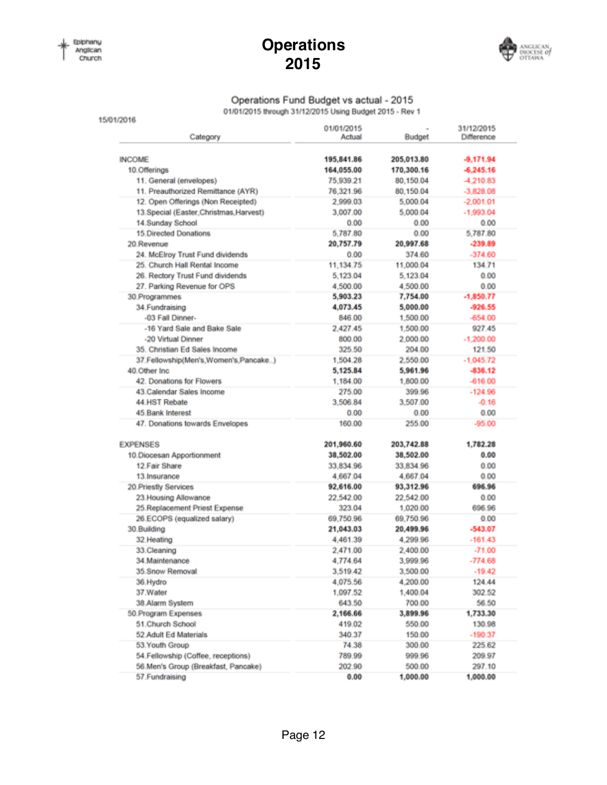### **Operations 2015**



### Operations Fund Budget vs actual - 2015

01/01/2015 through 31/12/2015 Using Budget 2015 - Rev 1

| Category                                | 01/01/2015<br>Actual | Budget     | 31/12/2015<br>Difference |
|-----------------------------------------|----------------------|------------|--------------------------|
|                                         |                      |            |                          |
| <b>INCOME</b>                           | 195,841.86           | 205,013.80 | $-9,171.94$              |
| 10.Offerings                            | 164,055.00           | 170,300.16 | $-6,245,16$              |
| 11. General (envelopes)                 | 75,939.21            | 80,150.04  | $-4,210.83$              |
| 11. Preauthorized Remittance (AYR)      | 76,321.96            | 80,150.04  | $-3,828.08$              |
| 12. Open Offerings (Non Receipted)      | 2,999.03             | 5,000.04   | $-2,001.01$              |
| 13.Special (Easter, Christmas, Harvest) | 3,007.00             | 5,000.04   | $-1,993.04$              |
| 14.Sunday School                        | 0.00                 | 0.00       | 0.00                     |
| 15.Directed Donations                   | 5,787.80             | 0.00       | 5,787.80                 |
| 20 Revenue                              | 20,757.79            | 20,997.68  | $-239.89$                |
| 24. McElroy Trust Fund dividends        | 0.00                 | 374.60     | $-374.60$                |
| 25. Church Hall Rental Income           | 11, 134, 75          | 11,000.04  | 134.71                   |
| 26. Rectory Trust Fund dividends        | 5,123.04             | 5,123.04   | 0.00                     |
| 27. Parking Revenue for OPS             | 4,500.00             | 4,500.00   | 0.00                     |
| 30.Programmes                           | 5,903.23             | 7,754.00   | $-1,850.77$              |
| 34. Fundraising                         | 4,073.45             | 5,000.00   | $-926.55$                |
| -03 Fall Dinner-                        | 846.00               | 1,500.00   | $-654.00$                |
| -16 Yard Sale and Bake Sale             | 2,427.45             | 1,500.00   | 927.45                   |
| -20 Virtual Dinner                      | 800.00               | 2,000.00   | $-1,200.00$              |
| 35. Christian Ed Sales Income           | 325.50               | 204.00     | 121.50                   |
| 37.Fellowship(Men's,Women's,Pancake)    | 1,504.28             | 2,550.00   | $-1,045.72$              |
| 40.Other Inc.                           | 5,125.84             | 5,961.96   | $-836.12$                |
| 42. Donations for Flowers               | 1,184.00             | 1,800.00   | $-616.00$                |
| 43. Calendar Sales Income               | 275.00               | 399.96     | $-124.96$                |
| 44 HST Rebate                           | 3,506.84             | 3,507.00   | $-0.16$                  |
| 45.Bank Interest                        | 0.00                 | 0.00       | 0.00                     |
| 47. Donations towards Envelopes         | 160.00               | 255.00     | $-95.00$                 |
| <b>EXPENSES</b>                         | 201,960.60           | 203,742.88 | 1,782.28                 |
| 10.Diocesan Apportionment               | 38,502.00            | 38,502.00  | 0.00                     |
| 12 Fair Share                           | 33,834.96            | 33,834.96  | 0.00                     |
|                                         |                      | 4,667.04   | 0.00                     |
| 13. Insurance                           | 4,667.04             |            | 696.96                   |
| 20 Priestly Services                    | 92,616.00            | 93,312.96  |                          |
| 23. Housing Allowance                   | 22.542.00            | 22.542.00  | 0.00                     |
| 25.Replacement Priest Expense           | 323.04               | 1,020.00   | 696.96                   |
| 26.ECOPS (equalized salary)             | 69,750.96            | 69,750.96  | 0.00                     |
| 30.Building                             | 21,043.03            | 20,499.96  | $-543.07$                |
| 32. Heating                             | 4,461.39             | 4,299.96   | $-161.43$                |
| 33.Cleaning                             | 2,471.00             | 2,400.00   | $-71.00$                 |
| 34.Maintenance                          | 4,774.64             | 3,999.96   | $-774.68$                |
| 35.Snow Removal                         | 3,519.42             | 3,500.00   | $-19.42$                 |
| 36.Hydro                                | 4,075.56             | 4,200.00   | 124.44                   |
| 37.Water                                | 1,097.52             | 1,400.04   | 302.52                   |
| 38.Alarm System                         | 643.50               | 700.00     | 56.50                    |
| 50. Program Expenses                    | 2,166.66             | 3,899.96   | 1,733.30                 |
| 51.Church School                        | 419.02               | 550.00     | 130.98                   |
| 52 Adult Ed Materials                   | 340.37               | 150.00     | $-190.37$                |
| 53. Youth Group                         | 74.38                | 300.00     | 225.62                   |
| 54. Fellowship (Coffee, receptions)     | 789.99               | 999.96     | 209.97                   |
| 56.Men's Group (Breakfast, Pancake)     | 202.90               | 500.00     | 297.10                   |
| 57. Fundraising                         | 0.00                 | 1,000.00   | 1,000.00                 |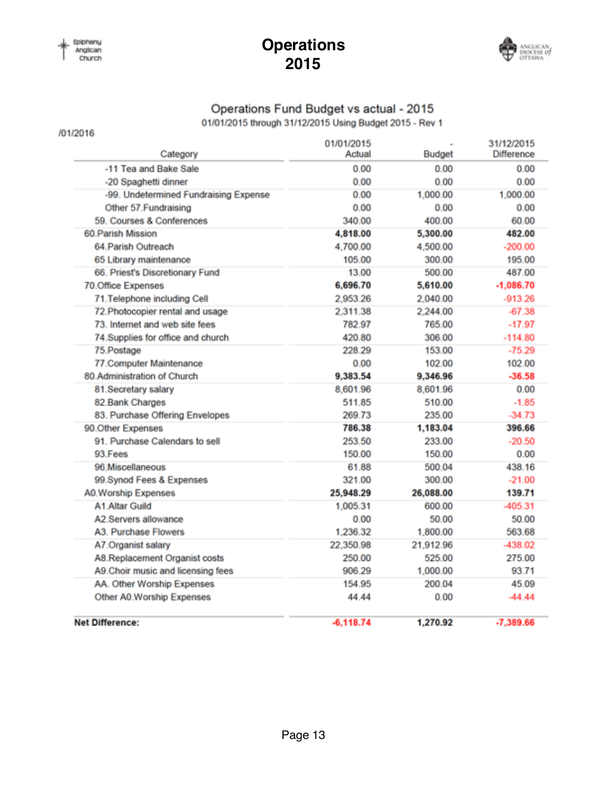/01/2016

### **Operations 2015**



### Operations Fund Budget vs actual - 2015

01/01/2015 through 31/12/2015 Using Budget 2015 - Rev 1

| Category                              | 01/01/2015<br>Actual | Budget    | 31/12/2015<br>Difference |
|---------------------------------------|----------------------|-----------|--------------------------|
| -11 Tea and Bake Sale                 | 0.00                 | 0.00      | 0.00                     |
| -20 Spaghetti dinner                  | 0.00                 | 0.00      | 0.00                     |
| -99. Undetermined Fundraising Expense | 0.00                 | 1,000.00  | 1,000.00                 |
| Other 57. Fundraising                 | 0.00                 | 0.00      | 0.00                     |
| 59. Courses & Conferences             | 340.00               | 400.00    | 60.00                    |
| 60. Parish Mission                    | 4,818.00             | 5,300.00  | 482.00                   |
| 64 Parish Outreach                    | 4.700.00             | 4,500.00  | $-200.00$                |
| 65 Library maintenance                | 105.00               | 300.00    | 195.00                   |
| 66. Priest's Discretionary Fund       | 13.00                | 500.00    | 487.00                   |
| 70.Office Expenses                    | 6,696.70             | 5,610.00  | $-1,086.70$              |
| 71. Telephone including Cell          | 2,953.26             | 2,040.00  | $-913.26$                |
| 72. Photocopier rental and usage      | 2,311.38             | 2,244.00  | $-67.38$                 |
| 73. Internet and web site fees        | 782.97               | 765.00    | $-17.97$                 |
| 74. Supplies for office and church    | 420.80               | 306.00    | $-114.80$                |
| 75. Postage                           | 228.29               | 153.00    | $-75.29$                 |
| 77.Computer Maintenance               | 0.00                 | 102.00    | 102.00                   |
| 80.Administration of Church           | 9,383.54             | 9,346.96  | $-36.58$                 |
| 81.Secretary salary                   | 8,601.96             | 8,601.96  | 0.00                     |
| 82.Bank Charges                       | 511.85               | 510.00    | $-1.85$                  |
| 83. Purchase Offering Envelopes       | 269.73               | 235.00    | $-34.73$                 |
| 90.Other Expenses                     | 786.38               | 1,183.04  | 396.66                   |
| 91. Purchase Calendars to sell        | 253.50               | 233.00    | $-20.50$                 |
| 93 Fees                               | 150.00               | 150.00    | 0.00                     |
| 96.Miscellaneous                      | 61.88                | 500.04    | 438.16                   |
| 99.Synod Fees & Expenses              | 321.00               | 300.00    | $-21.00$                 |
| A0.Worship Expenses                   | 25,948.29            | 26,088.00 | 139.71                   |
| A1 Altar Guild                        | 1,005.31             | 600.00    | $-405.31$                |
| A2.Servers allowance                  | 0.00                 | 50.00     | 50.00                    |
| A3. Purchase Flowers                  | 1,236.32             | 1,800.00  | 563.68                   |
| A7. Organist salary                   | 22,350.98            | 21,912.96 | -438.02                  |
| A8.Replacement Organist costs         | 250.00               | 525.00    | 275.00                   |
| A9. Choir music and licensing fees    | 906.29               | 1,000.00  | 93.71                    |
| AA. Other Worship Expenses            | 154.95               | 200.04    | 45.09                    |
| Other A0. Worship Expenses            | 44.44                | 0.00      | $-44.44$                 |
| <b>Net Difference:</b>                | $-6.118.74$          | 1,270.92  | $-7,389.66$              |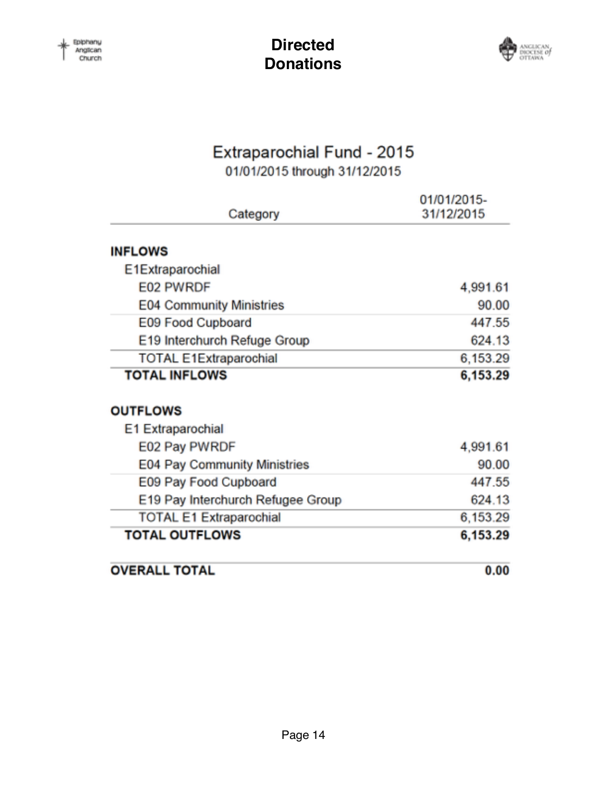

# Extraparochial Fund - 2015

01/01/2015 through 31/12/2015

| Category                          | 01/01/2015-<br>31/12/2015 |
|-----------------------------------|---------------------------|
|                                   |                           |
| <b>INFLOWS</b>                    |                           |
| E1Extraparochial                  |                           |
| E02 PWRDF                         | 4,991.61                  |
| <b>E04 Community Ministries</b>   | 90.00                     |
| E09 Food Cupboard                 | 447.55                    |
| E19 Interchurch Refuge Group      | 624.13                    |
| <b>TOTAL E1Extraparochial</b>     | 6,153.29                  |
| <b>TOTAL INFLOWS</b>              | 6,153.29                  |
| <b>OUTFLOWS</b>                   |                           |
| E1 Extraparochial                 |                           |
| E02 Pay PWRDF                     | 4,991.61                  |
| E04 Pay Community Ministries      | 90.00                     |
| E09 Pay Food Cupboard             | 447.55                    |
| E19 Pay Interchurch Refugee Group | 624.13                    |
| <b>TOTAL E1 Extraparochial</b>    | 6,153.29                  |
| <b>TOTAL OUTFLOWS</b>             | 6,153.29                  |
| <b>OVERALL TOTAL</b>              | 0.00                      |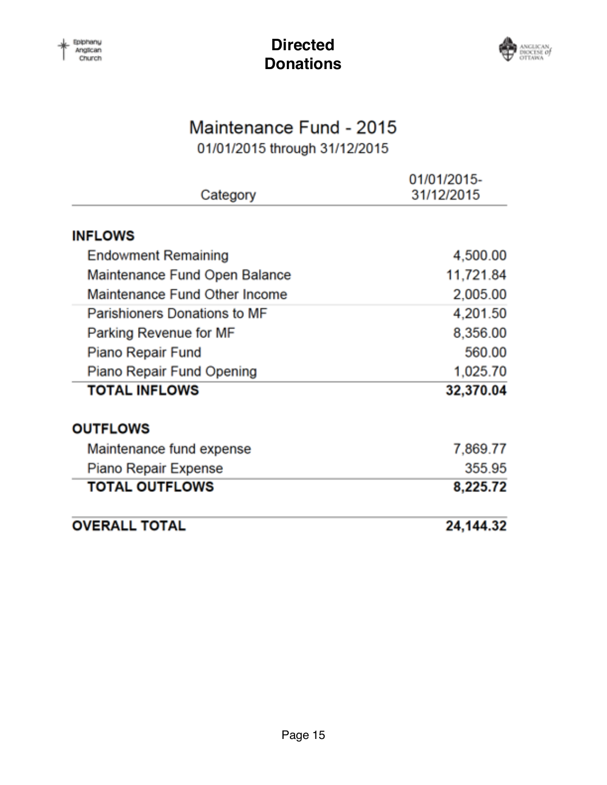

# Maintenance Fund - 2015

01/01/2015 through 31/12/2015

|                               | 01/01/2015- |
|-------------------------------|-------------|
| Category                      | 31/12/2015  |
| <b>INFLOWS</b>                |             |
| <b>Endowment Remaining</b>    | 4,500.00    |
| Maintenance Fund Open Balance | 11,721.84   |
| Maintenance Fund Other Income | 2,005.00    |
| Parishioners Donations to MF  | 4,201.50    |
| Parking Revenue for MF        | 8,356.00    |
| Piano Repair Fund             | 560.00      |
| Piano Repair Fund Opening     | 1,025.70    |
| <b>TOTAL INFLOWS</b>          | 32,370.04   |
| <b>OUTFLOWS</b>               |             |
| Maintenance fund expense      | 7,869.77    |
| Piano Repair Expense          | 355.95      |
| <b>TOTAL OUTFLOWS</b>         | 8,225.72    |
| <b>OVERALL TOTAL</b>          | 24,144.32   |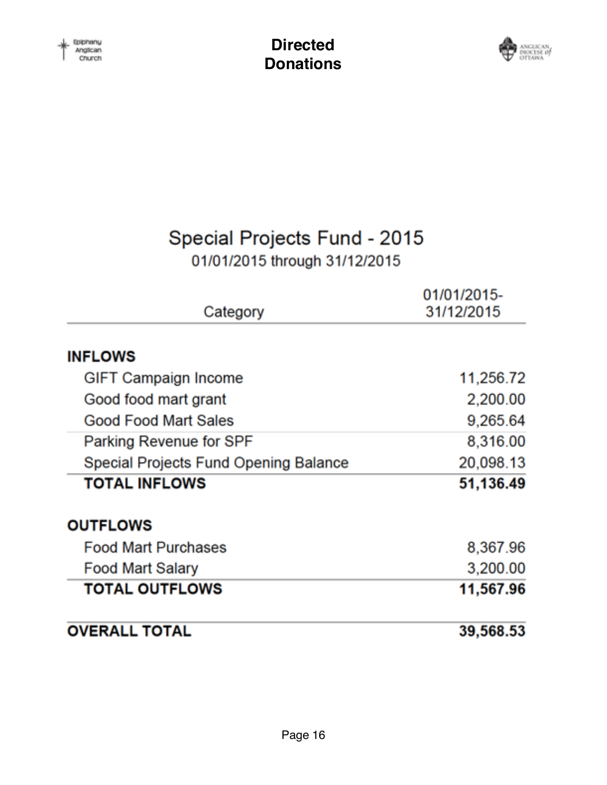

# Special Projects Fund - 2015

# 01/01/2015 through 31/12/2015

|                                       | 01/01/2015- |
|---------------------------------------|-------------|
| Category                              | 31/12/2015  |
| <b>INFLOWS</b>                        |             |
| <b>GIFT Campaign Income</b>           | 11,256.72   |
| Good food mart grant                  | 2,200.00    |
| Good Food Mart Sales                  | 9,265.64    |
| Parking Revenue for SPF               | 8,316.00    |
| Special Projects Fund Opening Balance | 20,098.13   |
| <b>TOTAL INFLOWS</b>                  | 51,136.49   |
| <b>OUTFLOWS</b>                       |             |
| <b>Food Mart Purchases</b>            | 8,367.96    |
| <b>Food Mart Salary</b>               | 3,200.00    |
| <b>TOTAL OUTFLOWS</b>                 | 11,567.96   |
| <b>OVERALL TOTAL</b>                  | 39,568.53   |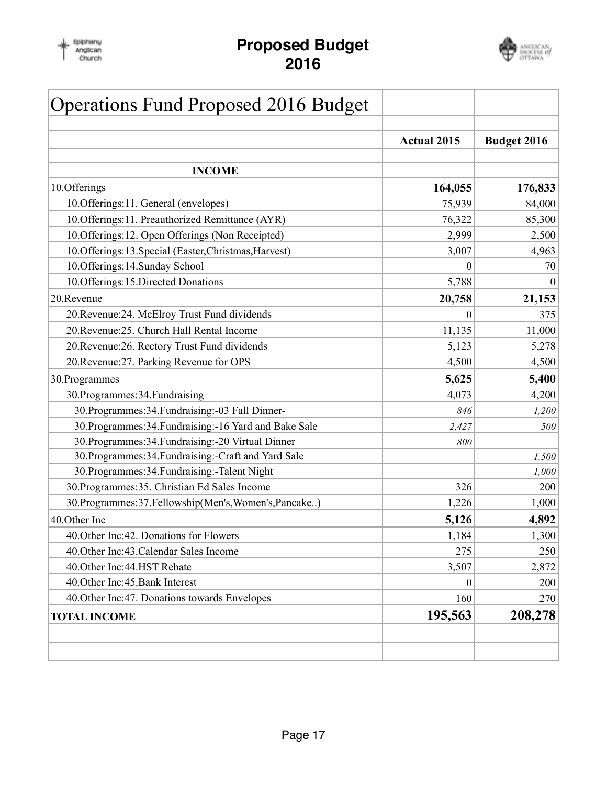

### **Proposed Budget 2016**



| <b>Operations Fund Proposed 2016 Budget</b>             |                    |                    |
|---------------------------------------------------------|--------------------|--------------------|
|                                                         | <b>Actual 2015</b> | <b>Budget 2016</b> |
| <b>INCOME</b>                                           |                    |                    |
| 10.Offerings                                            | 164,055            | 176,833            |
| 10. Offerings: 11. General (envelopes)                  | 75,939             | 84,000             |
| 10. Offerings: 11. Preauthorized Remittance (AYR)       | 76,322             | 85,300             |
| 10. Offerings: 12. Open Offerings (Non Receipted)       | 2,999              | 2,500              |
| 10. Offerings: 13. Special (Easter, Christmas, Harvest) | 3,007              | 4,963              |
| 10.Offerings:14.Sunday School                           | 0                  | 70                 |
| 10.Offerings:15.Directed Donations                      | 5,788              | $\theta$           |
| 20.Revenue                                              | 20,758             | 21,153             |
| 20. Revenue: 24. McElroy Trust Fund dividends           | 0                  | 375                |
| 20. Revenue: 25. Church Hall Rental Income              | 11,135             | 11,000             |
| 20. Revenue: 26. Rectory Trust Fund dividends           | 5,123              | 5,278              |
| 20. Revenue: 27. Parking Revenue for OPS                | 4,500              | 4,500              |
| 30. Programmes                                          | 5,625              | 5,400              |
| 30. Programmes: 34. Fundraising                         | 4,073              | 4,200              |
| 30. Programmes: 34. Fundraising: -03 Fall Dinner-       | 846                | 1,200              |
| 30. Programmes: 34. Fundraising: -16 Yard and Bake Sale | 2,427              | 500                |
| 30. Programmes: 34. Fundraising: - 20 Virtual Dinner    | 800                |                    |
| 30. Programmes: 34. Fundraising: - Craft and Yard Sale  |                    | 1,500              |
| 30. Programmes: 34. Fundraising: - Talent Night         |                    | 1,000              |
| 30. Programmes: 35. Christian Ed Sales Income           | 326                | 200                |
| 30. Programmes: 37. Fellowship(Men's, Women's, Pancake) | 1,226              | 1,000              |
| 40.Other Inc                                            | 5,126              | 4,892              |
| 40. Other Inc: 42. Donations for Flowers                | 1,184              | 1,300              |
| 40. Other Inc: 43. Calendar Sales Income                | 275                | 250                |
| 40. Other Inc: 44. HST Rebate                           | 3,507              | 2,872              |
| 40. Other Inc: 45. Bank Interest                        | $\boldsymbol{0}$   | 200                |
| 40. Other Inc: 47. Donations towards Envelopes          | 160                | 270                |
| <b>TOTAL INCOME</b>                                     | 195,563            | 208,278            |
|                                                         |                    |                    |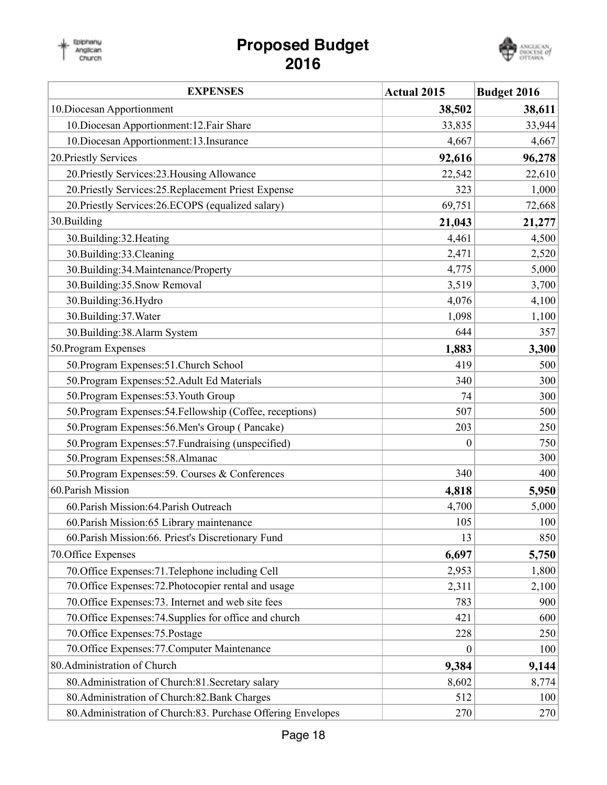### **Proposed Budget 2016**

Epiphany<br>Anglican<br>Church



| <b>EXPENSES</b>                                               | <b>Actual 2015</b> | <b>Budget 2016</b> |
|---------------------------------------------------------------|--------------------|--------------------|
| 10. Diocesan Apportionment                                    | 38,502             | 38,611             |
| 10. Diocesan Apportionment: 12. Fair Share                    | 33,835             | 33,944             |
| 10. Diocesan Apportionment: 13. Insurance                     | 4,667              | 4,667              |
| 20. Priestly Services                                         | 92,616             | 96,278             |
| 20. Priestly Services: 23. Housing Allowance                  | 22,542             | 22,610             |
| 20. Priestly Services: 25. Replacement Priest Expense         | 323                | 1,000              |
| 20. Priestly Services: 26. ECOPS (equalized salary)           | 69,751             | 72,668             |
| 30.Building                                                   | 21,043             | 21,277             |
| 30.Building:32.Heating                                        | 4,461              | 4,500              |
| 30.Building:33.Cleaning                                       | 2,471              | 2,520              |
| 30.Building:34.Maintenance/Property                           | 4,775              | 5,000              |
| 30.Building:35.Snow Removal                                   | 3,519              | 3,700              |
| 30.Building:36.Hydro                                          | 4,076              | 4,100              |
| 30.Building:37.Water                                          | 1,098              | 1,100              |
| 30.Building:38.Alarm System                                   | 644                | 357                |
| 50. Program Expenses                                          | 1,883              | 3,300              |
| 50. Program Expenses: 51. Church School                       | 419                | 500                |
| 50. Program Expenses: 52. Adult Ed Materials                  | 340                | 300                |
| 50. Program Expenses: 53. Youth Group                         | 74                 | 300                |
| 50. Program Expenses: 54. Fellowship (Coffee, receptions)     | 507                | 500                |
| 50. Program Expenses: 56. Men's Group (Pancake)               | 203                | 250                |
| 50. Program Expenses: 57. Fundraising (unspecified)           | $\boldsymbol{0}$   | 750                |
| 50. Program Expenses: 58. Almanac                             |                    | 300                |
| 50. Program Expenses: 59. Courses & Conferences               | 340                | 400                |
| 60. Parish Mission                                            | 4,818              | 5,950              |
| 60. Parish Mission: 64. Parish Outreach                       | 4,700              | 5,000              |
| 60. Parish Mission: 65 Library maintenance                    | 105                | 100                |
| 60. Parish Mission: 66. Priest's Discretionary Fund           | 13                 | 850                |
| 70. Office Expenses                                           | 6,697              | 5,750              |
| 70. Office Expenses: 71. Telephone including Cell             | 2,953              | 1,800              |
| 70. Office Expenses: 72. Photocopier rental and usage         | 2,311              | 2,100              |
| 70. Office Expenses: 73. Internet and web site fees           | 783                | 900                |
| 70. Office Expenses: 74. Supplies for office and church       | 421                | 600                |
| 70. Office Expenses: 75. Postage                              | 228                | 250                |
| 70. Office Expenses: 77. Computer Maintenance                 | $\boldsymbol{0}$   | 100                |
| 80. Administration of Church                                  | 9,384              | 9,144              |
| 80. Administration of Church: 81. Secretary salary            | 8,602              | 8,774              |
| 80. Administration of Church: 82. Bank Charges                | 512                | 100                |
| 80. Administration of Church: 83. Purchase Offering Envelopes | 270                | 270                |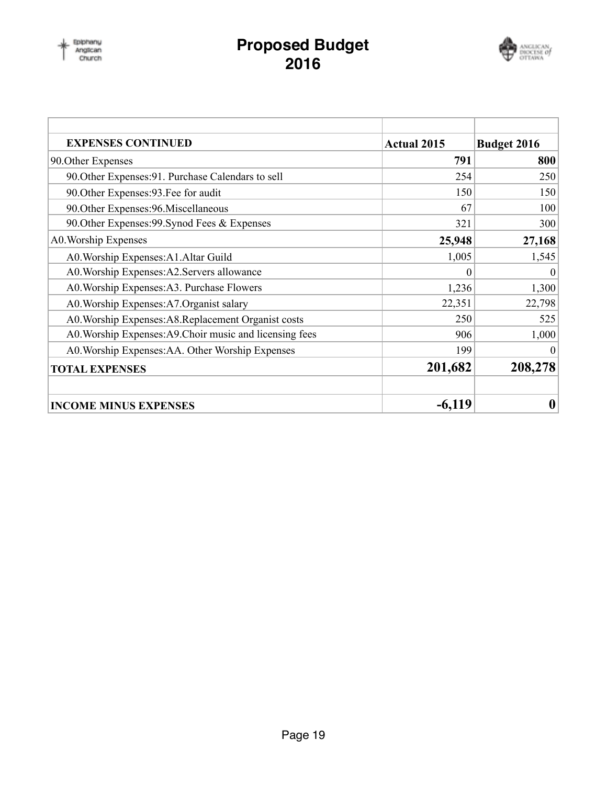### **Proposed Budget 2016**



| <b>EXPENSES CONTINUED</b>                                | <b>Actual 2015</b> | <b>Budget 2016</b> |
|----------------------------------------------------------|--------------------|--------------------|
| 90. Other Expenses                                       | 791                | 800                |
| 90. Other Expenses: 91. Purchase Calendars to sell       | 254                | 250                |
| 90. Other Expenses: 93. Fee for audit                    | 150                | 150                |
| 90. Other Expenses: 96. Miscellaneous                    | 67                 | 100                |
| 90. Other Expenses: 99. Synod Fees & Expenses            | 321                | 300                |
| A0. Worship Expenses                                     | 25,948             | 27,168             |
| A0. Worship Expenses: A1. Altar Guild                    | 1,005              | 1,545              |
| A0. Worship Expenses: A2. Servers allowance              | $\theta$           | $\theta$           |
| A0. Worship Expenses: A3. Purchase Flowers               | 1,236              | 1,300              |
| A0. Worship Expenses: A7. Organist salary                | 22,351             | 22,798             |
| A0. Worship Expenses: A8. Replacement Organist costs     | 250                | 525                |
| A0. Worship Expenses: A9. Choir music and licensing fees | 906                | 1,000              |
| A0. Worship Expenses: AA. Other Worship Expenses         | 199                | $\Omega$           |
| <b>TOTAL EXPENSES</b>                                    | 201,682            | 208,278            |
| <b>INCOME MINUS EXPENSES</b>                             | $-6,119$           | 0                  |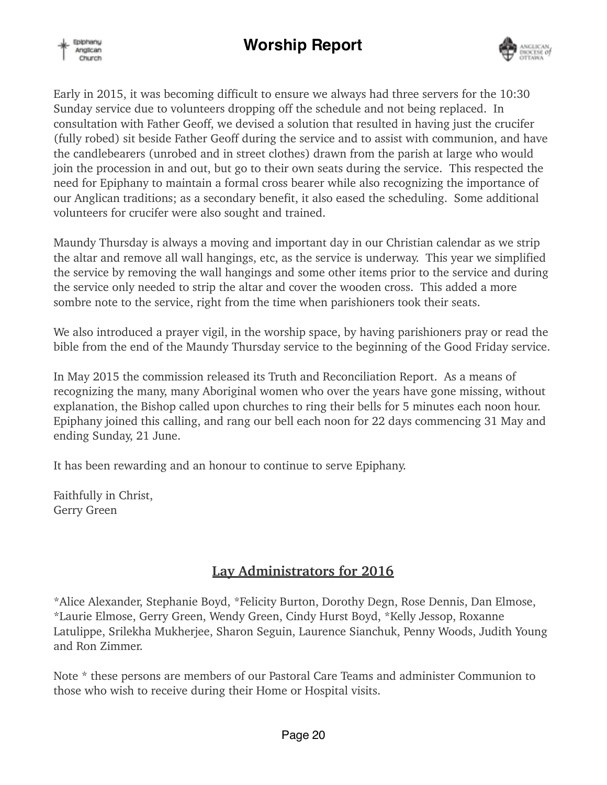



Early in 2015, it was becoming difficult to ensure we always had three servers for the 10:30 Sunday service due to volunteers dropping off the schedule and not being replaced. In consultation with Father Geoff, we devised a solution that resulted in having just the crucifer (fully robed) sit beside Father Geoff during the service and to assist with communion, and have the candlebearers (unrobed and in street clothes) drawn from the parish at large who would join the procession in and out, but go to their own seats during the service. This respected the need for Epiphany to maintain a formal cross bearer while also recognizing the importance of our Anglican traditions; as a secondary benefit, it also eased the scheduling. Some additional volunteers for crucifer were also sought and trained.

Maundy Thursday is always a moving and important day in our Christian calendar as we strip the altar and remove all wall hangings, etc, as the service is underway. This year we simplified the service by removing the wall hangings and some other items prior to the service and during the service only needed to strip the altar and cover the wooden cross. This added a more sombre note to the service, right from the time when parishioners took their seats.

We also introduced a prayer vigil, in the worship space, by having parishioners pray or read the bible from the end of the Maundy Thursday service to the beginning of the Good Friday service.

In May 2015 the commission released its Truth and Reconciliation Report. As a means of recognizing the many, many Aboriginal women who over the years have gone missing, without explanation, the Bishop called upon churches to ring their bells for 5 minutes each noon hour. Epiphany joined this calling, and rang our bell each noon for 22 days commencing 31 May and ending Sunday, 21 June.

It has been rewarding and an honour to continue to serve Epiphany.

Faithfully in Christ, Gerry Green

### **Lay Administrators for 2016**

\*Alice Alexander, Stephanie Boyd, \*Felicity Burton, Dorothy Degn, Rose Dennis, Dan Elmose, \*Laurie Elmose, Gerry Green, Wendy Green, Cindy Hurst Boyd, \*Kelly Jessop, Roxanne Latulippe, Srilekha Mukherjee, Sharon Seguin, Laurence Sianchuk, Penny Woods, Judith Young and Ron Zimmer.

Note \* these persons are members of our Pastoral Care Teams and administer Communion to those who wish to receive during their Home or Hospital visits.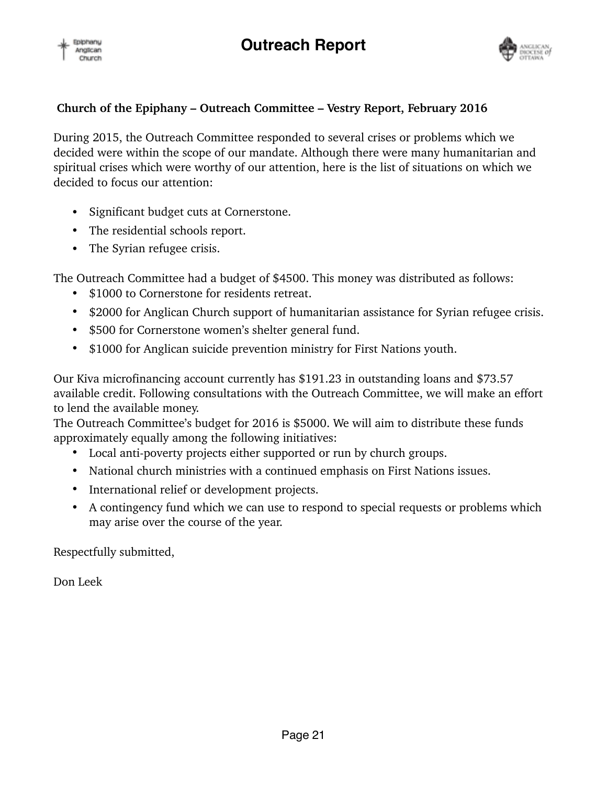



### **Church of the Epiphany – Outreach Committee – Vestry Report, February 2016**

During 2015, the Outreach Committee responded to several crises or problems which we decided were within the scope of our mandate. Although there were many humanitarian and spiritual crises which were worthy of our attention, here is the list of situations on which we decided to focus our attention:

- Significant budget cuts at Cornerstone.
- The residential schools report.
- The Syrian refugee crisis.

The Outreach Committee had a budget of \$4500. This money was distributed as follows:

- \$1000 to Cornerstone for residents retreat.
- \$2000 for Anglican Church support of humanitarian assistance for Syrian refugee crisis.
- \$500 for Cornerstone women's shelter general fund.
- \$1000 for Anglican suicide prevention ministry for First Nations youth.

Our Kiva microfinancing account currently has \$191.23 in outstanding loans and \$73.57 available credit. Following consultations with the Outreach Committee, we will make an effort to lend the available money.

The Outreach Committee's budget for 2016 is \$5000. We will aim to distribute these funds approximately equally among the following initiatives:

- Local anti-poverty projects either supported or run by church groups.
- National church ministries with a continued emphasis on First Nations issues.
- International relief or development projects.
- A contingency fund which we can use to respond to special requests or problems which may arise over the course of the year.

Respectfully submitted,

Don Leek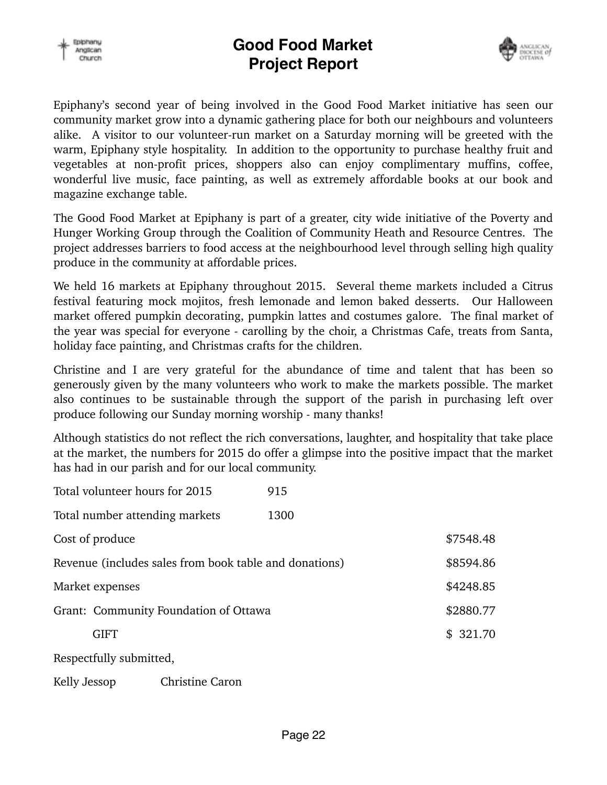



Epiphany's second year of being involved in the Good Food Market initiative has seen our community market grow into a dynamic gathering place for both our neighbours and volunteers alike. A visitor to our volunteer-run market on a Saturday morning will be greeted with the warm, Epiphany style hospitality. In addition to the opportunity to purchase healthy fruit and vegetables at non-profit prices, shoppers also can enjoy complimentary muffins, coffee, wonderful live music, face painting, as well as extremely affordable books at our book and magazine exchange table.

The Good Food Market at Epiphany is part of a greater, city wide initiative of the Poverty and Hunger Working Group through the Coalition of Community Heath and Resource Centres. The project addresses barriers to food access at the neighbourhood level through selling high quality produce in the community at affordable prices.

We held 16 markets at Epiphany throughout 2015. Several theme markets included a Citrus festival featuring mock mojitos, fresh lemonade and lemon baked desserts. Our Halloween market offered pumpkin decorating, pumpkin lattes and costumes galore. The final market of the year was special for everyone - carolling by the choir, a Christmas Cafe, treats from Santa, holiday face painting, and Christmas crafts for the children.

Christine and I are very grateful for the abundance of time and talent that has been so generously given by the many volunteers who work to make the markets possible. The market also continues to be sustainable through the support of the parish in purchasing left over produce following our Sunday morning worship - many thanks!

Although statistics do not reflect the rich conversations, laughter, and hospitality that take place at the market, the numbers for 2015 do offer a glimpse into the positive impact that the market has had in our parish and for our local community.

| Total volunteer hours for 2015                         |                 | 915  |           |
|--------------------------------------------------------|-----------------|------|-----------|
| Total number attending markets                         |                 | 1300 |           |
| Cost of produce                                        |                 |      | \$7548.48 |
| Revenue (includes sales from book table and donations) |                 |      | \$8594.86 |
| Market expenses                                        |                 |      | \$4248.85 |
| Grant: Community Foundation of Ottawa                  |                 |      | \$2880.77 |
| <b>GIFT</b>                                            |                 |      | \$321.70  |
| Respectfully submitted,                                |                 |      |           |
| Kelly Jessop                                           | Christine Caron |      |           |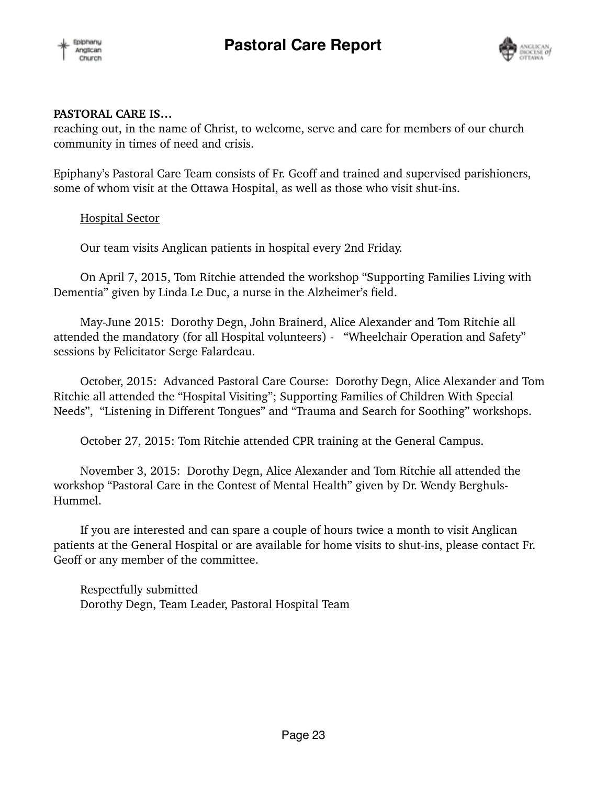



#### **PASTORAL CARE IS…**

reaching out, in the name of Christ, to welcome, serve and care for members of our church community in times of need and crisis.

Epiphany's Pastoral Care Team consists of Fr. Geoff and trained and supervised parishioners, some of whom visit at the Ottawa Hospital, as well as those who visit shut-ins.

### Hospital Sector

Our team visits Anglican patients in hospital every 2nd Friday.

On April 7, 2015, Tom Ritchie attended the workshop "Supporting Families Living with Dementia" given by Linda Le Duc, a nurse in the Alzheimer's field.

May-June 2015: Dorothy Degn, John Brainerd, Alice Alexander and Tom Ritchie all attended the mandatory (for all Hospital volunteers) - "Wheelchair Operation and Safety" sessions by Felicitator Serge Falardeau.

October, 2015: Advanced Pastoral Care Course: Dorothy Degn, Alice Alexander and Tom Ritchie all attended the "Hospital Visiting"; Supporting Families of Children With Special Needs", "Listening in Different Tongues" and "Trauma and Search for Soothing" workshops.

October 27, 2015: Tom Ritchie attended CPR training at the General Campus.

November 3, 2015: Dorothy Degn, Alice Alexander and Tom Ritchie all attended the workshop "Pastoral Care in the Contest of Mental Health" given by Dr. Wendy Berghuls-Hummel.

If you are interested and can spare a couple of hours twice a month to visit Anglican patients at the General Hospital or are available for home visits to shut-ins, please contact Fr. Geoff or any member of the committee.

Respectfully submitted Dorothy Degn, Team Leader, Pastoral Hospital Team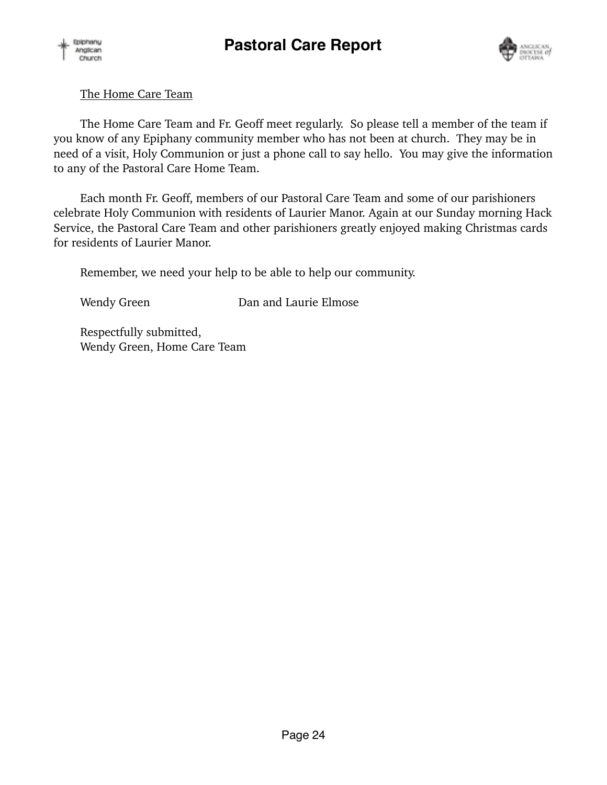



### The Home Care Team

The Home Care Team and Fr. Geoff meet regularly. So please tell a member of the team if you know of any Epiphany community member who has not been at church. They may be in need of a visit, Holy Communion or just a phone call to say hello. You may give the information to any of the Pastoral Care Home Team.

Each month Fr. Geoff, members of our Pastoral Care Team and some of our parishioners celebrate Holy Communion with residents of Laurier Manor. Again at our Sunday morning Hack Service, the Pastoral Care Team and other parishioners greatly enjoyed making Christmas cards for residents of Laurier Manor.

Remember, we need your help to be able to help our community.

Wendy Green Dan and Laurie Elmose

Respectfully submitted, Wendy Green, Home Care Team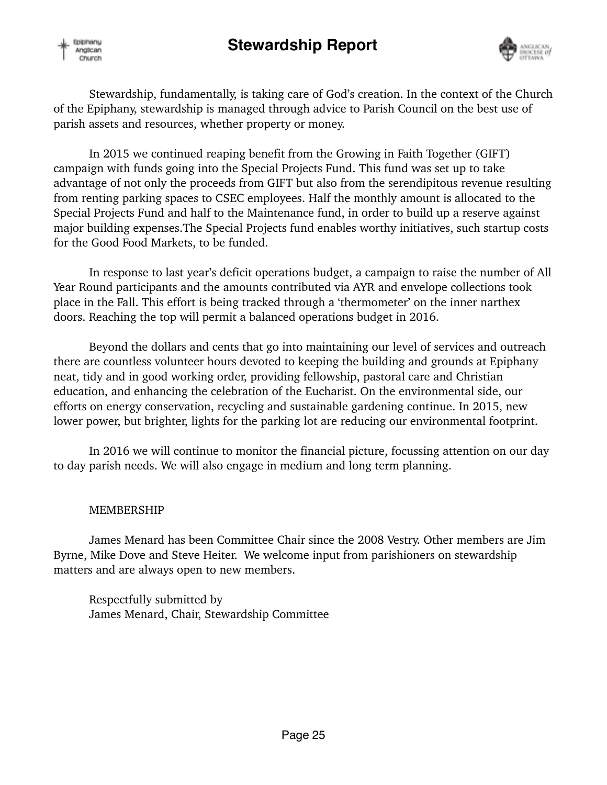



Stewardship, fundamentally, is taking care of God's creation. In the context of the Church of the Epiphany, stewardship is managed through advice to Parish Council on the best use of parish assets and resources, whether property or money.

In 2015 we continued reaping benefit from the Growing in Faith Together (GIFT) campaign with funds going into the Special Projects Fund. This fund was set up to take advantage of not only the proceeds from GIFT but also from the serendipitous revenue resulting from renting parking spaces to CSEC employees. Half the monthly amount is allocated to the Special Projects Fund and half to the Maintenance fund, in order to build up a reserve against major building expenses.The Special Projects fund enables worthy initiatives, such startup costs for the Good Food Markets, to be funded.

In response to last year's deficit operations budget, a campaign to raise the number of All Year Round participants and the amounts contributed via AYR and envelope collections took place in the Fall. This effort is being tracked through a 'thermometer' on the inner narthex doors. Reaching the top will permit a balanced operations budget in 2016.

Beyond the dollars and cents that go into maintaining our level of services and outreach there are countless volunteer hours devoted to keeping the building and grounds at Epiphany neat, tidy and in good working order, providing fellowship, pastoral care and Christian education, and enhancing the celebration of the Eucharist. On the environmental side, our efforts on energy conservation, recycling and sustainable gardening continue. In 2015, new lower power, but brighter, lights for the parking lot are reducing our environmental footprint.

In 2016 we will continue to monitor the financial picture, focussing attention on our day to day parish needs. We will also engage in medium and long term planning.

### MEMBERSHIP

James Menard has been Committee Chair since the 2008 Vestry. Other members are Jim Byrne, Mike Dove and Steve Heiter. We welcome input from parishioners on stewardship matters and are always open to new members.

Respectfully submitted by James Menard, Chair, Stewardship Committee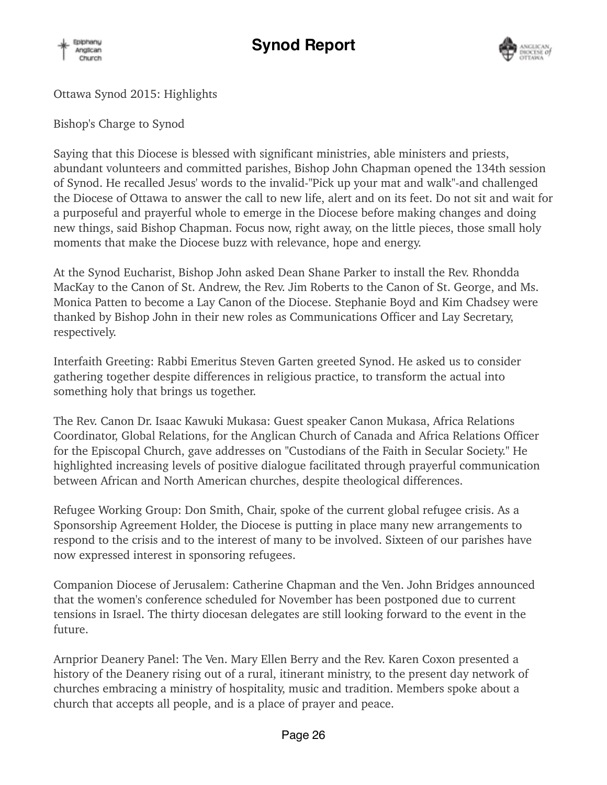



Ottawa Synod 2015: Highlights

Bishop's Charge to Synod

Saying that this Diocese is blessed with significant ministries, able ministers and priests, abundant volunteers and committed parishes, Bishop John Chapman opened the 134th session of Synod. He recalled Jesus' words to the invalid-"Pick up your mat and walk"-and challenged the Diocese of Ottawa to answer the call to new life, alert and on its feet. Do not sit and wait for a purposeful and prayerful whole to emerge in the Diocese before making changes and doing new things, said Bishop Chapman. Focus now, right away, on the little pieces, those small holy moments that make the Diocese buzz with relevance, hope and energy.

At the Synod Eucharist, Bishop John asked Dean Shane Parker to install the Rev. Rhondda MacKay to the Canon of St. Andrew, the Rev. Jim Roberts to the Canon of St. George, and Ms. Monica Patten to become a Lay Canon of the Diocese. Stephanie Boyd and Kim Chadsey were thanked by Bishop John in their new roles as Communications Officer and Lay Secretary, respectively.

Interfaith Greeting: Rabbi Emeritus Steven Garten greeted Synod. He asked us to consider gathering together despite differences in religious practice, to transform the actual into something holy that brings us together.

The Rev. Canon Dr. Isaac Kawuki Mukasa: Guest speaker Canon Mukasa, Africa Relations Coordinator, Global Relations, for the Anglican Church of Canada and Africa Relations Officer for the Episcopal Church, gave addresses on "Custodians of the Faith in Secular Society." He highlighted increasing levels of positive dialogue facilitated through prayerful communication between African and North American churches, despite theological differences.

Refugee Working Group: Don Smith, Chair, spoke of the current global refugee crisis. As a Sponsorship Agreement Holder, the Diocese is putting in place many new arrangements to respond to the crisis and to the interest of many to be involved. Sixteen of our parishes have now expressed interest in sponsoring refugees.

Companion Diocese of Jerusalem: Catherine Chapman and the Ven. John Bridges announced that the women's conference scheduled for November has been postponed due to current tensions in Israel. The thirty diocesan delegates are still looking forward to the event in the future.

Arnprior Deanery Panel: The Ven. Mary Ellen Berry and the Rev. Karen Coxon presented a history of the Deanery rising out of a rural, itinerant ministry, to the present day network of churches embracing a ministry of hospitality, music and tradition. Members spoke about a church that accepts all people, and is a place of prayer and peace.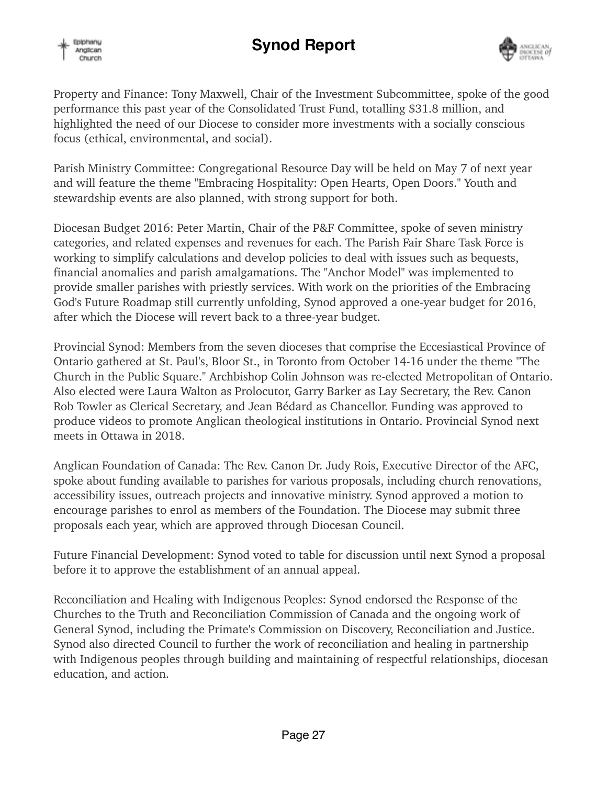





Property and Finance: Tony Maxwell, Chair of the Investment Subcommittee, spoke of the good performance this past year of the Consolidated Trust Fund, totalling \$31.8 million, and highlighted the need of our Diocese to consider more investments with a socially conscious focus (ethical, environmental, and social).

Parish Ministry Committee: Congregational Resource Day will be held on May 7 of next year and will feature the theme "Embracing Hospitality: Open Hearts, Open Doors." Youth and stewardship events are also planned, with strong support for both.

Diocesan Budget 2016: Peter Martin, Chair of the P&F Committee, spoke of seven ministry categories, and related expenses and revenues for each. The Parish Fair Share Task Force is working to simplify calculations and develop policies to deal with issues such as bequests, financial anomalies and parish amalgamations. The "Anchor Model" was implemented to provide smaller parishes with priestly services. With work on the priorities of the Embracing God's Future Roadmap still currently unfolding, Synod approved a one-year budget for 2016, after which the Diocese will revert back to a three-year budget.

Provincial Synod: Members from the seven dioceses that comprise the Eccesiastical Province of Ontario gathered at St. Paul's, Bloor St., in Toronto from October 14-16 under the theme "The Church in the Public Square." Archbishop Colin Johnson was re-elected Metropolitan of Ontario. Also elected were Laura Walton as Prolocutor, Garry Barker as Lay Secretary, the Rev. Canon Rob Towler as Clerical Secretary, and Jean Bédard as Chancellor. Funding was approved to produce videos to promote Anglican theological institutions in Ontario. Provincial Synod next meets in Ottawa in 2018.

Anglican Foundation of Canada: The Rev. Canon Dr. Judy Rois, Executive Director of the AFC, spoke about funding available to parishes for various proposals, including church renovations, accessibility issues, outreach projects and innovative ministry. Synod approved a motion to encourage parishes to enrol as members of the Foundation. The Diocese may submit three proposals each year, which are approved through Diocesan Council.

Future Financial Development: Synod voted to table for discussion until next Synod a proposal before it to approve the establishment of an annual appeal.

Reconciliation and Healing with Indigenous Peoples: Synod endorsed the Response of the Churches to the Truth and Reconciliation Commission of Canada and the ongoing work of General Synod, including the Primate's Commission on Discovery, Reconciliation and Justice. Synod also directed Council to further the work of reconciliation and healing in partnership with Indigenous peoples through building and maintaining of respectful relationships, diocesan education, and action.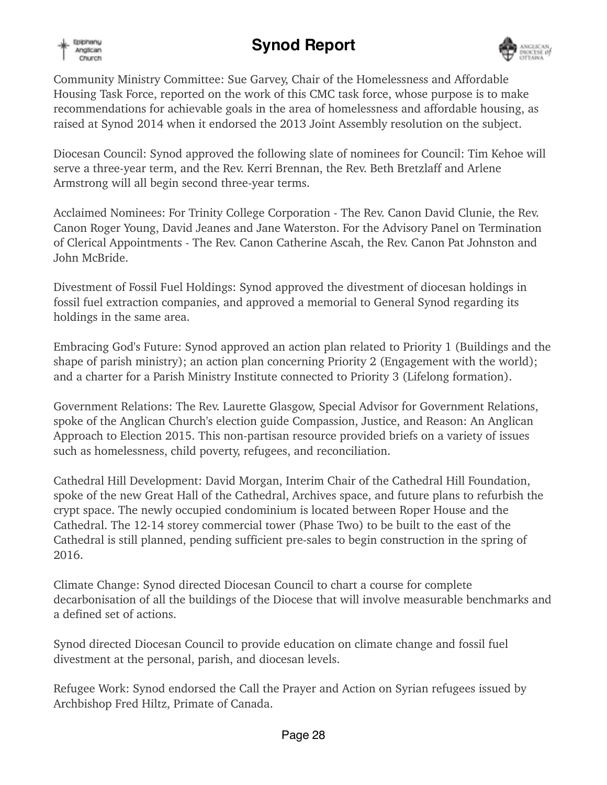





Community Ministry Committee: Sue Garvey, Chair of the Homelessness and Affordable Housing Task Force, reported on the work of this CMC task force, whose purpose is to make recommendations for achievable goals in the area of homelessness and affordable housing, as raised at Synod 2014 when it endorsed the 2013 Joint Assembly resolution on the subject.

Diocesan Council: Synod approved the following slate of nominees for Council: Tim Kehoe will serve a three-year term, and the Rev. Kerri Brennan, the Rev. Beth Bretzlaff and Arlene Armstrong will all begin second three-year terms.

Acclaimed Nominees: For Trinity College Corporation - The Rev. Canon David Clunie, the Rev. Canon Roger Young, David Jeanes and Jane Waterston. For the Advisory Panel on Termination of Clerical Appointments - The Rev. Canon Catherine Ascah, the Rev. Canon Pat Johnston and John McBride.

Divestment of Fossil Fuel Holdings: Synod approved the divestment of diocesan holdings in fossil fuel extraction companies, and approved a memorial to General Synod regarding its holdings in the same area.

Embracing God's Future: Synod approved an action plan related to Priority 1 (Buildings and the shape of parish ministry); an action plan concerning Priority 2 (Engagement with the world); and a charter for a Parish Ministry Institute connected to Priority 3 (Lifelong formation).

Government Relations: The Rev. Laurette Glasgow, Special Advisor for Government Relations, spoke of the Anglican Church's election guide Compassion, Justice, and Reason: An Anglican Approach to Election 2015. This non-partisan resource provided briefs on a variety of issues such as homelessness, child poverty, refugees, and reconciliation.

Cathedral Hill Development: David Morgan, Interim Chair of the Cathedral Hill Foundation, spoke of the new Great Hall of the Cathedral, Archives space, and future plans to refurbish the crypt space. The newly occupied condominium is located between Roper House and the Cathedral. The 12-14 storey commercial tower (Phase Two) to be built to the east of the Cathedral is still planned, pending sufficient pre-sales to begin construction in the spring of 2016.

Climate Change: Synod directed Diocesan Council to chart a course for complete decarbonisation of all the buildings of the Diocese that will involve measurable benchmarks and a defined set of actions.

Synod directed Diocesan Council to provide education on climate change and fossil fuel divestment at the personal, parish, and diocesan levels.

Refugee Work: Synod endorsed the Call the Prayer and Action on Syrian refugees issued by Archbishop Fred Hiltz, Primate of Canada.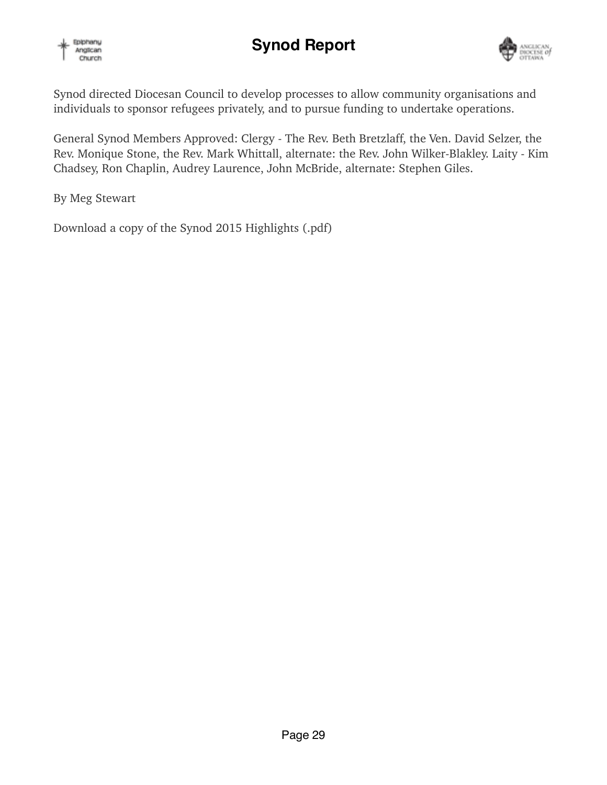

# **Synod Report**



Synod directed Diocesan Council to develop processes to allow community organisations and individuals to sponsor refugees privately, and to pursue funding to undertake operations.

General Synod Members Approved: Clergy - The Rev. Beth Bretzlaff, the Ven. David Selzer, the Rev. Monique Stone, the Rev. Mark Whittall, alternate: the Rev. John Wilker-Blakley. Laity - Kim Chadsey, Ron Chaplin, Audrey Laurence, John McBride, alternate: Stephen Giles.

By Meg Stewart

Download a copy of the Synod 2015 Highlights (.pdf)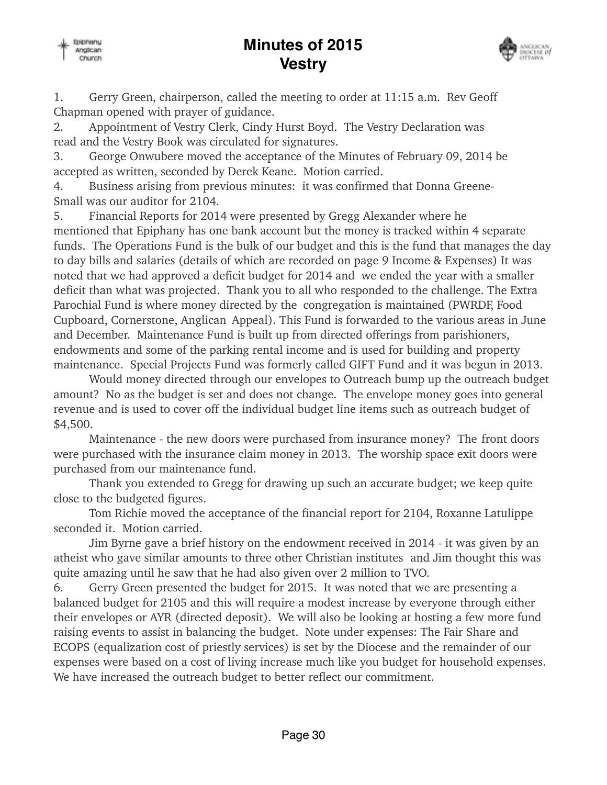## **Minutes of 2015 Vestry**





1. Gerry Green, chairperson, called the meeting to order at 11:15 a.m. Rev Geoff Chapman opened with prayer of guidance.

2. Appointment of Vestry Clerk, Cindy Hurst Boyd. The Vestry Declaration was read and the Vestry Book was circulated for signatures.

3. George Onwubere moved the acceptance of the Minutes of February 09, 2014 be accepted as written, seconded by Derek Keane. Motion carried.

4. Business arising from previous minutes: it was confirmed that Donna Greene-Small was our auditor for 2104.

5. Financial Reports for 2014 were presented by Gregg Alexander where he mentioned that Epiphany has one bank account but the money is tracked within 4 separate funds. The Operations Fund is the bulk of our budget and this is the fund that manages the day to day bills and salaries (details of which are recorded on page 9 Income & Expenses) It was noted that we had approved a deficit budget for 2014 and we ended the year with a smaller deficit than what was projected. Thank you to all who responded to the challenge. The Extra Parochial Fund is where money directed by the congregation is maintained (PWRDF, Food Cupboard, Cornerstone, Anglican Appeal). This Fund is forwarded to the various areas in June and December. Maintenance Fund is built up from directed offerings from parishioners, endowments and some of the parking rental income and is used for building and property maintenance. Special Projects Fund was formerly called GIFT Fund and it was begun in 2013.

 Would money directed through our envelopes to Outreach bump up the outreach budget amount? No as the budget is set and does not change. The envelope money goes into general revenue and is used to cover off the individual budget line items such as outreach budget of \$4,500.

 Maintenance - the new doors were purchased from insurance money? The front doors were purchased with the insurance claim money in 2013. The worship space exit doors were purchased from our maintenance fund.

 Thank you extended to Gregg for drawing up such an accurate budget; we keep quite close to the budgeted figures.

 Tom Richie moved the acceptance of the financial report for 2104, Roxanne Latulippe seconded it. Motion carried.

 Jim Byrne gave a brief history on the endowment received in 2014 - it was given by an atheist who gave similar amounts to three other Christian institutes and Jim thought this was quite amazing until he saw that he had also given over 2 million to TVO.

6. Gerry Green presented the budget for 2015. It was noted that we are presenting a balanced budget for 2105 and this will require a modest increase by everyone through either their envelopes or AYR (directed deposit). We will also be looking at hosting a few more fund raising events to assist in balancing the budget. Note under expenses: The Fair Share and ECOPS (equalization cost of priestly services) is set by the Diocese and the remainder of our expenses were based on a cost of living increase much like you budget for household expenses. We have increased the outreach budget to better reflect our commitment.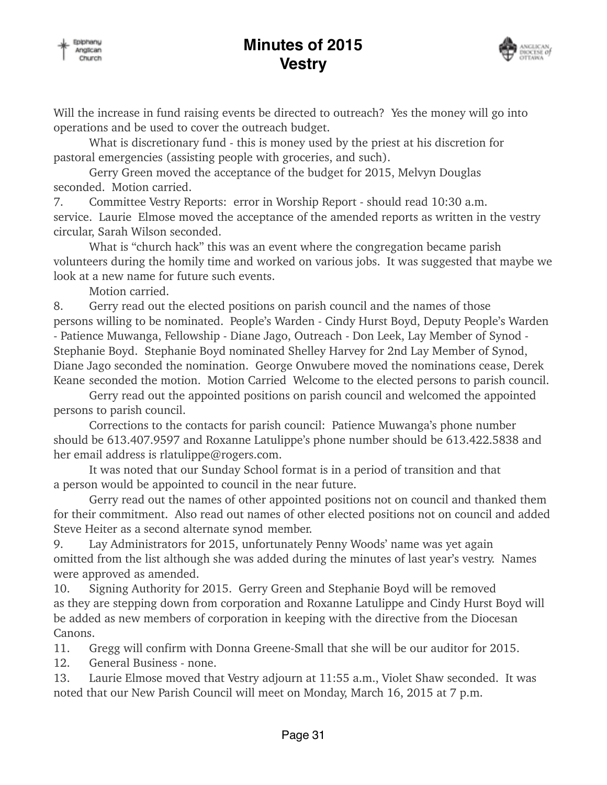# **Minutes of 2015 Vestry**



Will the increase in fund raising events be directed to outreach? Yes the money will go into operations and be used to cover the outreach budget.

 What is discretionary fund - this is money used by the priest at his discretion for pastoral emergencies (assisting people with groceries, and such).

 Gerry Green moved the acceptance of the budget for 2015, Melvyn Douglas seconded. Motion carried.

7. Committee Vestry Reports: error in Worship Report - should read 10:30 a.m. service. Laurie Elmose moved the acceptance of the amended reports as written in the vestry circular, Sarah Wilson seconded.

 What is "church hack" this was an event where the congregation became parish volunteers during the homily time and worked on various jobs. It was suggested that maybe we look at a new name for future such events.

Motion carried.

8. Gerry read out the elected positions on parish council and the names of those persons willing to be nominated. People's Warden - Cindy Hurst Boyd, Deputy People's Warden - Patience Muwanga, Fellowship - Diane Jago, Outreach - Don Leek, Lay Member of Synod - Stephanie Boyd. Stephanie Boyd nominated Shelley Harvey for 2nd Lay Member of Synod, Diane Jago seconded the nomination. George Onwubere moved the nominations cease, Derek Keane seconded the motion. Motion Carried Welcome to the elected persons to parish council.

 Gerry read out the appointed positions on parish council and welcomed the appointed persons to parish council.

 Corrections to the contacts for parish council: Patience Muwanga's phone number should be 613.407.9597 and Roxanne Latulippe's phone number should be 613.422.5838 and her email address is rlatulippe@rogers.com.

 It was noted that our Sunday School format is in a period of transition and that a person would be appointed to council in the near future.

 Gerry read out the names of other appointed positions not on council and thanked them for their commitment. Also read out names of other elected positions not on council and added Steve Heiter as a second alternate synod member.

9. Lay Administrators for 2015, unfortunately Penny Woods' name was yet again omitted from the list although she was added during the minutes of last year's vestry. Names were approved as amended.

10. Signing Authority for 2015. Gerry Green and Stephanie Boyd will be removed as they are stepping down from corporation and Roxanne Latulippe and Cindy Hurst Boyd will be added as new members of corporation in keeping with the directive from the Diocesan Canons.

11. Gregg will confirm with Donna Greene-Small that she will be our auditor for 2015.

12. General Business - none.

13. Laurie Elmose moved that Vestry adjourn at 11:55 a.m., Violet Shaw seconded. It was noted that our New Parish Council will meet on Monday, March 16, 2015 at 7 p.m.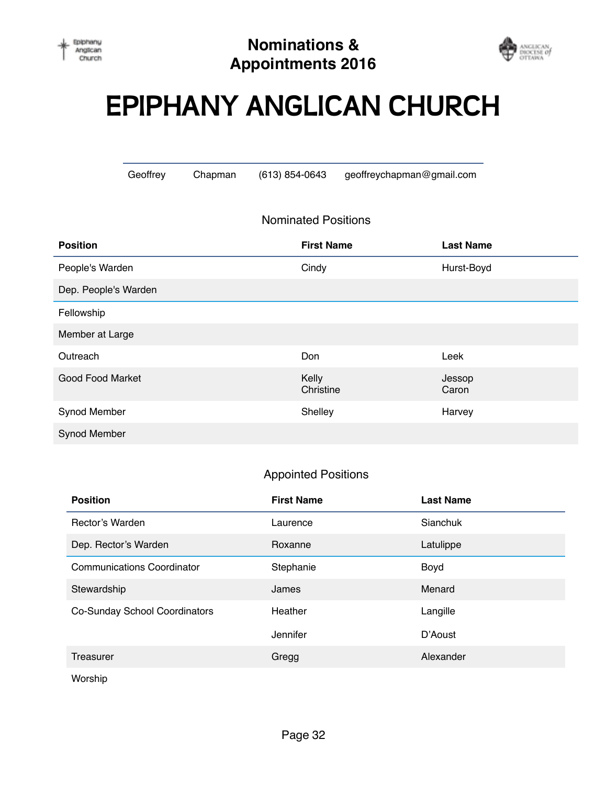

# **EPIPHANY ANGLICAN CHURCH**

Geoffrey Chapman (613) 854-0643 [geoffreychapman@gmail.com](mailto:geoffreychapman@gmail.com)

### Nominated Positions

| <b>Position</b>         | <b>First Name</b>  | <b>Last Name</b> |
|-------------------------|--------------------|------------------|
| People's Warden         | Cindy              | Hurst-Boyd       |
| Dep. People's Warden    |                    |                  |
| Fellowship              |                    |                  |
| Member at Large         |                    |                  |
| Outreach                | Don                | Leek             |
| <b>Good Food Market</b> | Kelly<br>Christine | Jessop<br>Caron  |
| Synod Member            | Shelley            | Harvey           |
| Synod Member            |                    |                  |

### Appointed Positions

| <b>Position</b>                   | <b>First Name</b> | <b>Last Name</b> |
|-----------------------------------|-------------------|------------------|
| Rector's Warden                   | Laurence          | Sianchuk         |
| Dep. Rector's Warden              | Roxanne           | Latulippe        |
| <b>Communications Coordinator</b> | Stephanie         | Boyd             |
| Stewardship                       | James             | Menard           |
| Co-Sunday School Coordinators     | Heather           | Langille         |
|                                   | Jennifer          | D'Aoust          |
| Treasurer                         | Gregg             | Alexander        |

Worship